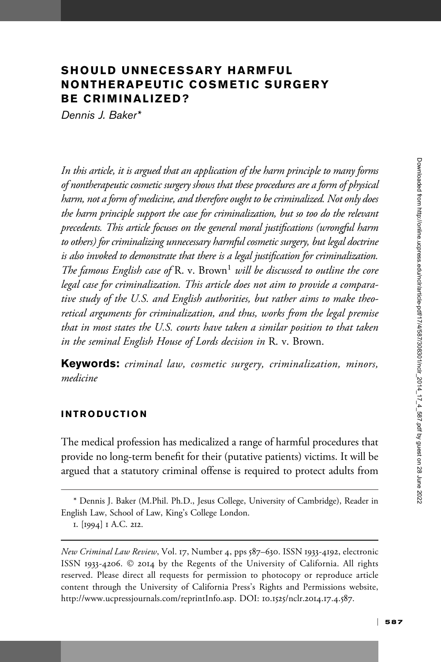# SHOULD UNNECESSARY HARMFUL NONTHERAPEUTIC COSMETIC SURGERY BE CRIMINALIZED?

Dennis J. Baker\*

In this article, it is argued that an application of the harm principle to many forms of nontherapeutic cosmetic surgery shows that these procedures are a form of physical harm, not a form of medicine, and therefore ought to be criminalized. Not only does the harm principle support the case for criminalization, but so too do the relevant precedents. This article focuses on the general moral justifications (wrongful harm to others) for criminalizing unnecessary harmful cosmetic surgery, but legal doctrine is also invoked to demonstrate that there is a legal justification for criminalization. The famous English case of R. v. Brown<sup>1</sup> will be discussed to outline the core legal case for criminalization. This article does not aim to provide a comparative study of the U.S. and English authorities, but rather aims to make theoretical arguments for criminalization, and thus, works from the legal premise that in most states the U.S. courts have taken a similar position to that taken in the seminal English House of Lords decision in R. v. Brown.

Keywords: criminal law, cosmetic surgery, criminalization, minors, medicine

#### INTRODUCTION

The medical profession has medicalized a range of harmful procedures that provide no long-term benefit for their (putative patients) victims. It will be argued that a statutory criminal offense is required to protect adults from

<sup>\*</sup> Dennis J. Baker (M.Phil. Ph.D., Jesus College, University of Cambridge), Reader in English Law, School of Law, King's College London.

<sup>1.</sup> [1994] 1 A.C. 212.

New Criminal Law Review, Vol. 17, Number 4, pps 587–630. ISSN 1933-4192, electronic ISSN 1933-4206. © 2014 by the Regents of the University of California. All rights reserved. Please direct all requests for permission to photocopy or reproduce article content through the University of California Press's Rights and Permissions website, http://www.ucpressjournals.com/reprintInfo.asp. DOI: 10.1525/nclr.2014.17.4.587.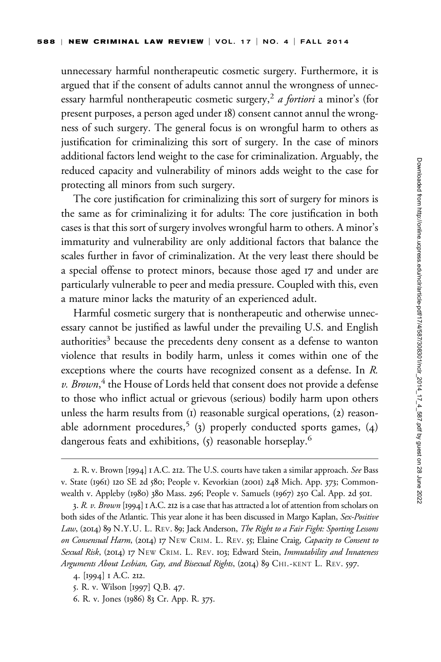unnecessary harmful nontherapeutic cosmetic surgery. Furthermore, it is argued that if the consent of adults cannot annul the wrongness of unnecessary harmful nontherapeutic cosmetic surgery,<sup>2</sup> a fortiori a minor's (for present purposes, a person aged under 18) consent cannot annul the wrongness of such surgery. The general focus is on wrongful harm to others as justification for criminalizing this sort of surgery. In the case of minors additional factors lend weight to the case for criminalization. Arguably, the reduced capacity and vulnerability of minors adds weight to the case for protecting all minors from such surgery.

The core justification for criminalizing this sort of surgery for minors is the same as for criminalizing it for adults: The core justification in both cases is that this sort of surgery involves wrongful harm to others. A minor's immaturity and vulnerability are only additional factors that balance the scales further in favor of criminalization. At the very least there should be a special offense to protect minors, because those aged 17 and under are particularly vulnerable to peer and media pressure. Coupled with this, even a mature minor lacks the maturity of an experienced adult.

Harmful cosmetic surgery that is nontherapeutic and otherwise unnecessary cannot be justified as lawful under the prevailing U.S. and English authorities<sup>3</sup> because the precedents deny consent as a defense to wanton violence that results in bodily harm, unless it comes within one of the exceptions where the courts have recognized consent as a defense. In R. v. Brown,<sup>4</sup> the House of Lords held that consent does not provide a defense to those who inflict actual or grievous (serious) bodily harm upon others unless the harm results from (1) reasonable surgical operations, (2) reasonable adornment procedures,<sup>5</sup> (3) properly conducted sports games, (4) dangerous feats and exhibitions, (5) reasonable horseplay.<sup>6</sup>

- 5. R. v. Wilson [1997] Q.B. 47.
- 6. R. v. Jones (1986) 83 Cr. App. R. 375.

<sup>2.</sup> R. v. Brown [1994] I A.C. 212. The U.S. courts have taken a similar approach. See Bass v. State (1961) 120 SE 2d 580; People v. Kevorkian (2001) 248 Mich. App. 373; Commonwealth v. Appleby (1980) 380 Mass. 296; People v. Samuels (1967) 250 Cal. App. 2d 501.

<sup>3.</sup> R. v. Brown [1994] 1 A.C. 212 is a case that has attracted a lot of attention from scholars on both sides of the Atlantic. This year alone it has been discussed in Margo Kaplan, Sex-Positive Law, (2014) 89 N.Y.U. L. REV. 89; Jack Anderson, The Right to a Fair Fight: Sporting Lessons on Consensual Harm, (2014) 17 NEW CRIM. L. REV. 55; Elaine Craig, Capacity to Consent to Sexual Risk, (2014) 17 NEW CRIM. L. REV. 103; Edward Stein, Immutability and Innateness Arguments About Lesbian, Gay, and Bisexual Rights, (2014) 89 CHI.-KENT L. REV. 597.

<sup>4.</sup> [1994] 1 A.C. 212.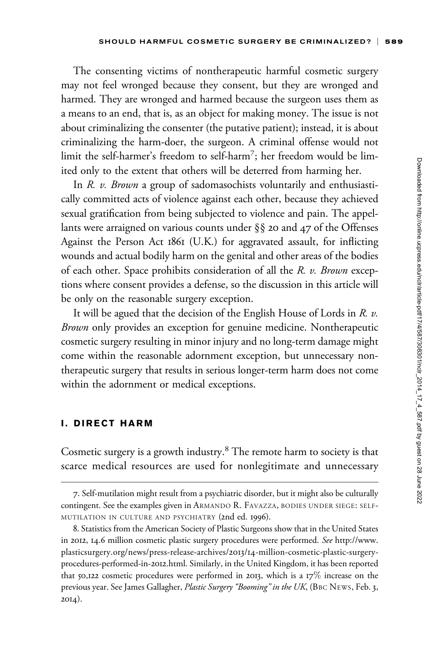The consenting victims of nontherapeutic harmful cosmetic surgery may not feel wronged because they consent, but they are wronged and harmed. They are wronged and harmed because the surgeon uses them as a means to an end, that is, as an object for making money. The issue is not about criminalizing the consenter (the putative patient); instead, it is about criminalizing the harm-doer, the surgeon. A criminal offense would not limit the self-harmer's freedom to self-harm<sup>7</sup> ; her freedom would be limited only to the extent that others will be deterred from harming her.

In R. v. Brown a group of sadomasochists voluntarily and enthusiastically committed acts of violence against each other, because they achieved sexual gratification from being subjected to violence and pain. The appellants were arraigned on various counts under §§ 20 and 47 of the Offenses Against the Person Act 1861 (U.K.) for aggravated assault, for inflicting wounds and actual bodily harm on the genital and other areas of the bodies of each other. Space prohibits consideration of all the R. v. Brown exceptions where consent provides a defense, so the discussion in this article will be only on the reasonable surgery exception.

It will be agued that the decision of the English House of Lords in  $R$ .  $v$ . Brown only provides an exception for genuine medicine. Nontherapeutic cosmetic surgery resulting in minor injury and no long-term damage might come within the reasonable adornment exception, but unnecessary nontherapeutic surgery that results in serious longer-term harm does not come within the adornment or medical exceptions.

#### I. DIRECT HARM

Cosmetic surgery is a growth industry.<sup>8</sup> The remote harm to society is that scarce medical resources are used for nonlegitimate and unnecessary

<sup>7.</sup> Self-mutilation might result from a psychiatric disorder, but it might also be culturally contingent. See the examples given in ARMANDO R. FAVAZZA, BODIES UNDER SIEGE: SELF-MUTILATION IN CULTURE AND PSYCHIATRY (2nd ed. 1996).

<sup>8.</sup> Statistics from the American Society of Plastic Surgeons show that in the United States in 2012, 14.6 million cosmetic plastic surgery procedures were performed. See [http://www.](http://www.plasticsurgery.org/news/press-release-archives/2013/14-million-cosmetic-plastic-surgery-procedures-performed-in-2012.html) [plasticsurgery.org/news/press-release-archives/](http://www.plasticsurgery.org/news/press-release-archives/2013/14-million-cosmetic-plastic-surgery-procedures-performed-in-2012.html)2013/14-million-cosmetic-plastic-surgery[procedures-performed-in-](http://www.plasticsurgery.org/news/press-release-archives/2013/14-million-cosmetic-plastic-surgery-procedures-performed-in-2012.html)2012.html. Similarly, in the United Kingdom, it has been reported that 50,122 cosmetic procedures were performed in 2013, which is a  $17\%$  increase on the previous year. See James Gallagher, Plastic Surgery "Booming" in the UK, (BBC NEWS, Feb. 3, 2014).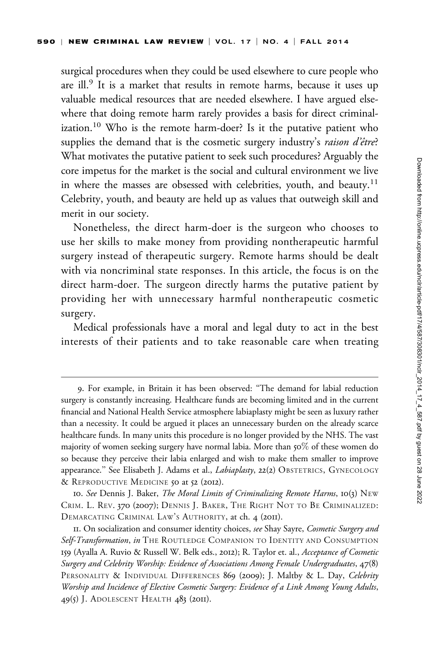surgical procedures when they could be used elsewhere to cure people who are ill.<sup>9</sup> It is a market that results in remote harms, because it uses up valuable medical resources that are needed elsewhere. I have argued elsewhere that doing remote harm rarely provides a basis for direct criminalization.<sup>10</sup> Who is the remote harm-doer? Is it the putative patient who supplies the demand that is the cosmetic surgery industry's raison d'être? What motivates the putative patient to seek such procedures? Arguably the core impetus for the market is the social and cultural environment we live in where the masses are obsessed with celebrities, youth, and beauty.<sup>11</sup> Celebrity, youth, and beauty are held up as values that outweigh skill and merit in our society.

Nonetheless, the direct harm-doer is the surgeon who chooses to use her skills to make money from providing nontherapeutic harmful surgery instead of therapeutic surgery. Remote harms should be dealt with via noncriminal state responses. In this article, the focus is on the direct harm-doer. The surgeon directly harms the putative patient by providing her with unnecessary harmful nontherapeutic cosmetic surgery.

Medical professionals have a moral and legal duty to act in the best interests of their patients and to take reasonable care when treating

<sup>9.</sup> For example, in Britain it has been observed: ''The demand for labial reduction surgery is constantly increasing. Healthcare funds are becoming limited and in the current financial and National Health Service atmosphere labiaplasty might be seen as luxury rather than a necessity. It could be argued it places an unnecessary burden on the already scarce healthcare funds. In many units this procedure is no longer provided by the NHS. The vast majority of women seeking surgery have normal labia. More than 50% of these women do so because they perceive their labia enlarged and wish to make them smaller to improve appearance." See Elisabeth J. Adams et al., *Labiaplasty*, 22(2) OBSTETRICS, GYNECOLOGY & REPRODUCTIVE MEDICINE 50 at 52 (2012).

<sup>10.</sup> See Dennis J. Baker, *The Moral Limits of Criminalizing Remote Harms*, 10(3) NEW CRIM. L. REV. 370 (2007); DENNIS J. BAKER, THE RIGHT NOT TO BE CRIMINALIZED: DEMARCATING CRIMINAL LAW'S AUTHORITY, at ch. 4 (2011).

II. On socialization and consumer identity choices, see Shay Sayre, Cosmetic Surgery and Self-Transformation, in THE ROUTLEDGE COMPANION TO IDENTITY AND CONSUMPTION 159 (Ayalla A. Ruvio & Russell W. Belk eds., 2012); R. Taylor et. al., Acceptance of Cosmetic Surgery and Celebrity Worship: Evidence of Associations Among Female Undergraduates, 47(8) PERSONALITY & INDIVIDUAL DIFFERENCES 869 (2009); J. Maltby & L. Day, Celebrity Worship and Incidence of Elective Cosmetic Surgery: Evidence of a Link Among Young Adults, 49(5) J. ADOLESCENT HEALTH 483 (2011).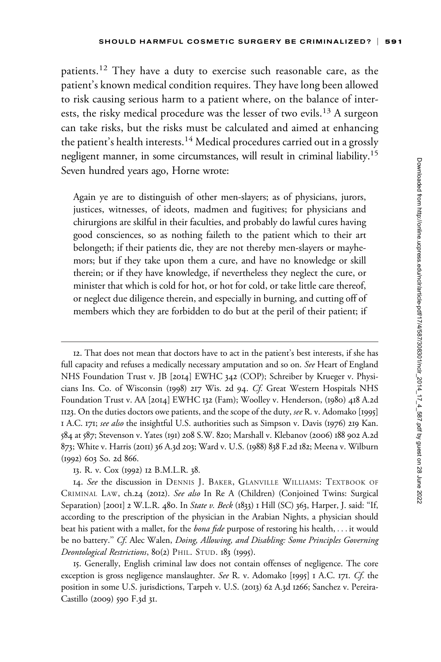patients.<sup>12</sup> They have a duty to exercise such reasonable care, as the patient's known medical condition requires. They have long been allowed to risk causing serious harm to a patient where, on the balance of interests, the risky medical procedure was the lesser of two evils.<sup>13</sup> A surgeon can take risks, but the risks must be calculated and aimed at enhancing the patient's health interests.<sup>14</sup> Medical procedures carried out in a grossly negligent manner, in some circumstances, will result in criminal liability.15 Seven hundred years ago, Horne wrote:

Again ye are to distinguish of other men-slayers; as of physicians, jurors, justices, witnesses, of ideots, madmen and fugitives; for physicians and chirurgions are skilful in their faculties, and probably do lawful cures having good consciences, so as nothing faileth to the patient which to their art belongeth; if their patients die, they are not thereby men-slayers or mayhemors; but if they take upon them a cure, and have no knowledge or skill therein; or if they have knowledge, if nevertheless they neglect the cure, or minister that which is cold for hot, or hot for cold, or take little care thereof, or neglect due diligence therein, and especially in burning, and cutting off of members which they are forbidden to do but at the peril of their patient; if

15. Generally, English criminal law does not contain offenses of negligence. The core exception is gross negligence manslaughter. See R. v. Adomako [1995] I A.C. 171. Cf. the position in some U.S. jurisdictions, Tarpeh v. U.S. (2013) 62 A.3d 1266; Sanchez v. Pereira-Castillo (2009) 590 F.3d 31.

<sup>12.</sup> That does not mean that doctors have to act in the patient's best interests, if she has full capacity and refuses a medically necessary amputation and so on. See Heart of England NHS Foundation Trust v. JB [2014] EWHC 342 (COP); Schreiber by Krueger v. Physicians Ins. Co. of Wisconsin (1998) 217 Wis. 2d 94. Cf. Great Western Hospitals NHS Foundation Trust v. AA [2014] EWHC 132 (Fam); Woolley v. Henderson, (1980) 418 A.2d 1123. On the duties doctors owe patients, and the scope of the duty, see R. v. Adomako [1995] 1 A.C. 171; see also the insightful U.S. authorities such as Simpson v. Davis (1976) 219 Kan. 584 at 587; Stevenson v. Yates (191) 208 S.W. 820; Marshall v. Klebanov (2006) 188 902 A.2d 873; White v. Harris (2011) 36 A.3d 203; Ward v. U.S. (1988) 838 F.2d 182; Meena v. Wilburn (1992) 603 So. 2d 866.

<sup>13.</sup> R. v. Cox (1992) 12 B.M.L.R. 38.

<sup>14.</sup> See the discussion in DENNIS J. BAKER, GLANVILLE WILLIAMS: TEXTBOOK OF CRIMINAL LAW, ch.24 (2012). See also In Re A (Children) (Conjoined Twins: Surgical Separation) [2001] 2 W.L.R. 480. In State v. Beck (1833) 1 Hill (SC) 363, Harper, J. said: "If, according to the prescription of the physician in the Arabian Nights, a physician should beat his patient with a mallet, for the *bona fide* purpose of restoring his health, . . . it would be no battery." Cf. Alec Walen, Doing, Allowing, and Disabling: Some Principles Governing Deontological Restrictions, 80(2) PHIL. STUD. 183 (1995).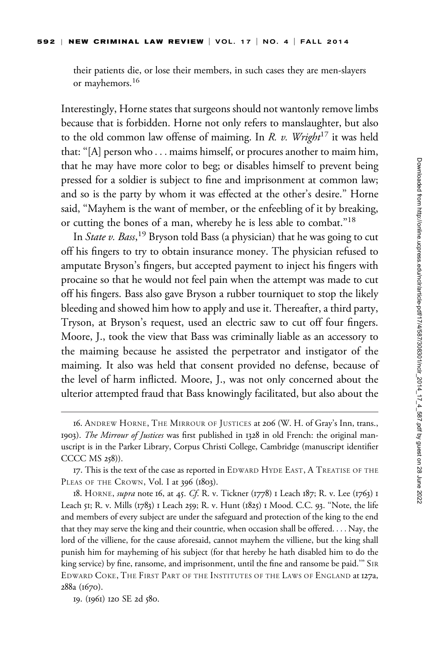their patients die, or lose their members, in such cases they are men-slayers or mayhemors.<sup>16</sup>

Interestingly, Horne states that surgeons should not wantonly remove limbs because that is forbidden. Horne not only refers to manslaughter, but also to the old common law offense of maiming. In R. v. Wright<sup>17</sup> it was held that: ''[A] person who ... maims himself, or procures another to maim him, that he may have more color to beg; or disables himself to prevent being pressed for a soldier is subject to fine and imprisonment at common law; and so is the party by whom it was effected at the other's desire.'' Horne said, ''Mayhem is the want of member, or the enfeebling of it by breaking, or cutting the bones of a man, whereby he is less able to combat.''18

In *State v. Bass*,<sup>19</sup> Bryson told Bass (a physician) that he was going to cut off his fingers to try to obtain insurance money. The physician refused to amputate Bryson's fingers, but accepted payment to inject his fingers with procaine so that he would not feel pain when the attempt was made to cut off his fingers. Bass also gave Bryson a rubber tourniquet to stop the likely bleeding and showed him how to apply and use it. Thereafter, a third party, Tryson, at Bryson's request, used an electric saw to cut off four fingers. Moore, J., took the view that Bass was criminally liable as an accessory to the maiming because he assisted the perpetrator and instigator of the maiming. It also was held that consent provided no defense, because of the level of harm inflicted. Moore, J., was not only concerned about the ulterior attempted fraud that Bass knowingly facilitated, but also about the

<sup>16.</sup> ANDREW HORNE, THE MIRROUR OF JUSTICES at 206 (W. H. of Gray's Inn, trans., 1903). The Mirrour of Justices was first published in 1328 in old French: the original manuscript is in the Parker Library, Corpus Christi College, Cambridge (manuscript identifier CCCC MS 258)).

<sup>17.</sup> This is the text of the case as reported in EDWARD HYDE EAST,ATREATISE OF THE PLEAS OF THE CROWN, Vol. I at 396 (1803).

<sup>18.</sup> HORNE, *supra* note 16, at 45. Cf. R. v. Tickner (1778) 1 Leach 187; R. v. Lee (1763) 1 Leach 51; R. v. Mills (1783) 1 Leach 259; R. v. Hunt (1825) 1 Mood. C.C. 93. ''Note, the life and members of every subject are under the safeguard and protection of the king to the end that they may serve the king and their countrie, when occasion shall be offered. ... Nay, the lord of the villiene, for the cause aforesaid, cannot mayhem the villiene, but the king shall punish him for mayheming of his subject (for that hereby he hath disabled him to do the king service) by fine, ransome, and imprisonment, until the fine and ransome be paid.''' SIR EDWARD COKE, THE FIRST PART OF THE INSTITUTES OF THE LAWS OF ENGLAND at 127a, 288a (1670).

<sup>19.</sup> (1961) 120 SE 2d 580.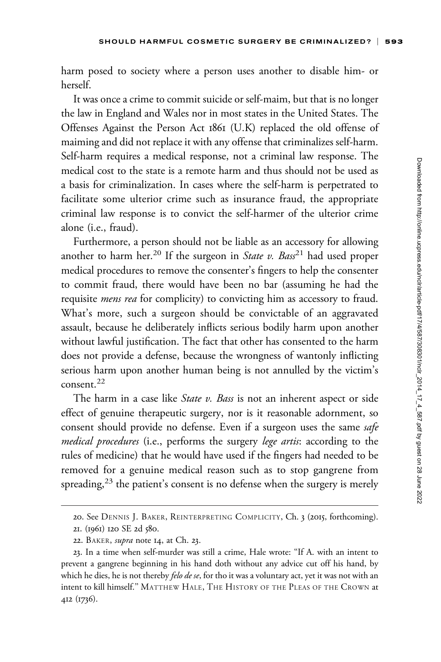harm posed to society where a person uses another to disable him- or herself.

It was once a crime to commit suicide or self-maim, but that is no longer the law in England and Wales nor in most states in the United States. The Offenses Against the Person Act 1861 (U.K) replaced the old offense of maiming and did not replace it with any offense that criminalizes self-harm. Self-harm requires a medical response, not a criminal law response. The medical cost to the state is a remote harm and thus should not be used as a basis for criminalization. In cases where the self-harm is perpetrated to facilitate some ulterior crime such as insurance fraud, the appropriate criminal law response is to convict the self-harmer of the ulterior crime alone (i.e., fraud).

Furthermore, a person should not be liable as an accessory for allowing another to harm her.<sup>20</sup> If the surgeon in *State v. Bass*<sup>21</sup> had used proper medical procedures to remove the consenter's fingers to help the consenter to commit fraud, there would have been no bar (assuming he had the requisite *mens rea* for complicity) to convicting him as accessory to fraud. What's more, such a surgeon should be convictable of an aggravated assault, because he deliberately inflicts serious bodily harm upon another without lawful justification. The fact that other has consented to the harm does not provide a defense, because the wrongness of wantonly inflicting serious harm upon another human being is not annulled by the victim's consent.<sup>22</sup>

The harm in a case like State v. Bass is not an inherent aspect or side effect of genuine therapeutic surgery, nor is it reasonable adornment, so consent should provide no defense. Even if a surgeon uses the same safe medical procedures (i.e., performs the surgery lege artis: according to the rules of medicine) that he would have used if the fingers had needed to be removed for a genuine medical reason such as to stop gangrene from spreading,<sup>23</sup> the patient's consent is no defense when the surgery is merely

<sup>20.</sup> See DENNIS J. BAKER, REINTERPRETING COMPLICITY, Ch. 3 (2015, forthcoming).

<sup>21.</sup> (1961) 120 SE 2d 580.

<sup>22.</sup> BAKER, *supra* note 14, at Ch. 23.

<sup>23.</sup> In a time when self-murder was still a crime, Hale wrote: ''If A. with an intent to prevent a gangrene beginning in his hand doth without any advice cut off his hand, by which he dies, he is not thereby felo de se, for tho it was a voluntary act, yet it was not with an intent to kill himself.'' MATTHEW HALE, THE HISTORY OF THE PLEAS OF THE CROWN at 412 (1736).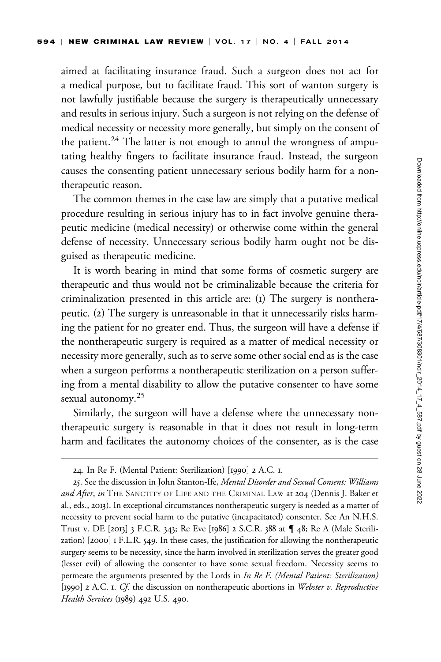aimed at facilitating insurance fraud. Such a surgeon does not act for a medical purpose, but to facilitate fraud. This sort of wanton surgery is not lawfully justifiable because the surgery is therapeutically unnecessary and results in serious injury. Such a surgeon is not relying on the defense of medical necessity or necessity more generally, but simply on the consent of the patient.<sup>24</sup> The latter is not enough to annul the wrongness of amputating healthy fingers to facilitate insurance fraud. Instead, the surgeon causes the consenting patient unnecessary serious bodily harm for a nontherapeutic reason.

The common themes in the case law are simply that a putative medical procedure resulting in serious injury has to in fact involve genuine therapeutic medicine (medical necessity) or otherwise come within the general defense of necessity. Unnecessary serious bodily harm ought not be disguised as therapeutic medicine.

It is worth bearing in mind that some forms of cosmetic surgery are therapeutic and thus would not be criminalizable because the criteria for criminalization presented in this article are: (1) The surgery is nontherapeutic. (2) The surgery is unreasonable in that it unnecessarily risks harming the patient for no greater end. Thus, the surgeon will have a defense if the nontherapeutic surgery is required as a matter of medical necessity or necessity more generally, such as to serve some other social end as is the case when a surgeon performs a nontherapeutic sterilization on a person suffering from a mental disability to allow the putative consenter to have some sexual autonomy.<sup>25</sup>

Similarly, the surgeon will have a defense where the unnecessary nontherapeutic surgery is reasonable in that it does not result in long-term harm and facilitates the autonomy choices of the consenter, as is the case

<sup>24.</sup> In Re F. (Mental Patient: Sterilization) [1990] 2 A.C. 1.

<sup>25.</sup> See the discussion in John Stanton-Ife, Mental Disorder and Sexual Consent: Williams and After, in THE SANCTITY OF LIFE AND THE CRIMINAL LAW at 204 (Dennis J. Baker et al., eds., 2013). In exceptional circumstances nontherapeutic surgery is needed as a matter of necessity to prevent social harm to the putative (incapacitated) consenter. See An N.H.S. Trust v. DE [2013] 3 F.C.R. 343; Re Eve [1986] 2 S.C.R. 388 at { 48; Re A (Male Sterilization) [2000] 1 F.L.R. 549. In these cases, the justification for allowing the nontherapeutic surgery seems to be necessity, since the harm involved in sterilization serves the greater good (lesser evil) of allowing the consenter to have some sexual freedom. Necessity seems to permeate the arguments presented by the Lords in In Re F. (Mental Patient: Sterilization) [1990] 2 A.C. 1. Cf. the discussion on nontherapeutic abortions in Webster v. Reproductive Health Services (1989) 492 U.S. 490.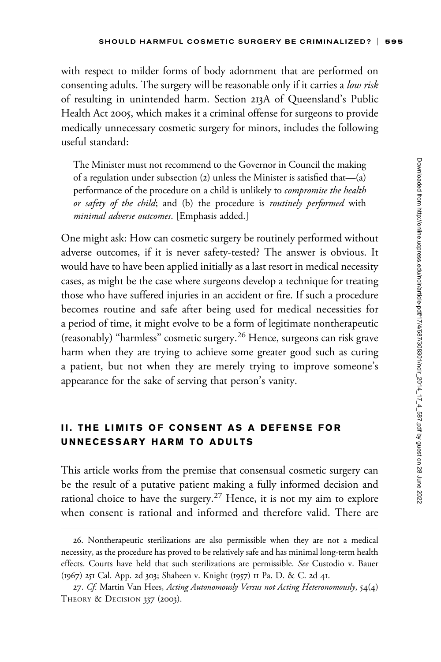with respect to milder forms of body adornment that are performed on consenting adults. The surgery will be reasonable only if it carries a low risk of resulting in unintended harm. Section 213A of Queensland's Public Health Act 2005, which makes it a criminal offense for surgeons to provide medically unnecessary cosmetic surgery for minors, includes the following useful standard:

The Minister must not recommend to the Governor in Council the making of a regulation under subsection (2) unless the Minister is satisfied that—(a) performance of the procedure on a child is unlikely to *compromise the health* or safety of the child; and (b) the procedure is routinely performed with minimal adverse outcomes. [Emphasis added.]

One might ask: How can cosmetic surgery be routinely performed without adverse outcomes, if it is never safety-tested? The answer is obvious. It would have to have been applied initially as a last resort in medical necessity cases, as might be the case where surgeons develop a technique for treating those who have suffered injuries in an accident or fire. If such a procedure becomes routine and safe after being used for medical necessities for a period of time, it might evolve to be a form of legitimate nontherapeutic (reasonably) ''harmless'' cosmetic surgery.<sup>26</sup> Hence, surgeons can risk grave harm when they are trying to achieve some greater good such as curing a patient, but not when they are merely trying to improve someone's appearance for the sake of serving that person's vanity.

### II. THE LIMITS OF CONSENT AS A DEFENSE FOR UNNECESSARY HARM TO ADULTS

This article works from the premise that consensual cosmetic surgery can be the result of a putative patient making a fully informed decision and rational choice to have the surgery.<sup>27</sup> Hence, it is not my aim to explore when consent is rational and informed and therefore valid. There are

<sup>26.</sup> Nontherapeutic sterilizations are also permissible when they are not a medical necessity, as the procedure has proved to be relatively safe and has minimal long-term health effects. Courts have held that such sterilizations are permissible. See Custodio v. Bauer (1967) 251 Cal. App. 2d 303; Shaheen v. Knight (1957) 11 Pa. D. & C. 2d 41.

<sup>27.</sup> Cf. Martin Van Hees, Acting Autonomously Versus not Acting Heteronomously, 54(4) THEORY & DECISION 337 (2003).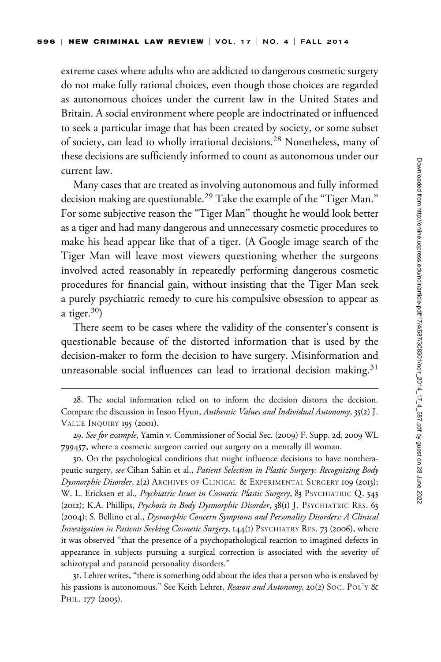extreme cases where adults who are addicted to dangerous cosmetic surgery do not make fully rational choices, even though those choices are regarded as autonomous choices under the current law in the United States and Britain. A social environment where people are indoctrinated or influenced to seek a particular image that has been created by society, or some subset of society, can lead to wholly irrational decisions.<sup>28</sup> Nonetheless, many of these decisions are sufficiently informed to count as autonomous under our current law.

Many cases that are treated as involving autonomous and fully informed decision making are questionable.<sup>29</sup> Take the example of the "Tiger Man." For some subjective reason the ''Tiger Man'' thought he would look better as a tiger and had many dangerous and unnecessary cosmetic procedures to make his head appear like that of a tiger. (A Google image search of the Tiger Man will leave most viewers questioning whether the surgeons involved acted reasonably in repeatedly performing dangerous cosmetic procedures for financial gain, without insisting that the Tiger Man seek a purely psychiatric remedy to cure his compulsive obsession to appear as a tiger. $30)$ 

There seem to be cases where the validity of the consenter's consent is questionable because of the distorted information that is used by the decision-maker to form the decision to have surgery. Misinformation and unreasonable social influences can lead to irrational decision making.<sup>31</sup>

<sup>28.</sup> The social information relied on to inform the decision distorts the decision. Compare the discussion in Insoo Hyun, Authentic Values and Individual Autonomy, 35(2) J. VALUE INQUIRY 195 (2001).

<sup>29.</sup> See for example, Yamin v. Commissioner of Social Sec. (2009) F. Supp. 2d, 2009 WL 799457, where a cosmetic surgeon carried out surgery on a mentally ill woman.

<sup>30.</sup> On the psychological conditions that might influence decisions to have nontherapeutic surgery, see Cihan Sahin et al., Patient Selection in Plastic Surgery: Recognizing Body Dysmorphic Disorder, 2(2) ARCHIVES OF CLINICAL & EXPERIMENTAL SURGERY 109 (2013); W. L. Ericksen et al., Psychiatric Issues in Cosmetic Plastic Surgery, 83 PSYCHIATRIC Q. 343 (2012); K.A. Phillips, *Psychosis in Body Dysmorphic Disorder*, 38(1) J. PSYCHIATRIC RES. 63 (2004); S. Bellino et al., Dysmorphic Concern Symptoms and Personality Disorders: A Clinical Investigation in Patients Seeking Cosmetic Surgery, 144(1) PSYCHIATRY RES. 73 (2006), where it was observed ''that the presence of a psychopathological reaction to imagined defects in appearance in subjects pursuing a surgical correction is associated with the severity of schizotypal and paranoid personality disorders.''

<sup>31.</sup> Lehrer writes, ''there is something odd about the idea that a person who is enslaved by his passions is autonomous." See Keith Lehrer, Reason and Autonomy, 20(2) SOC. POL'Y & PHIL. 177 (2003).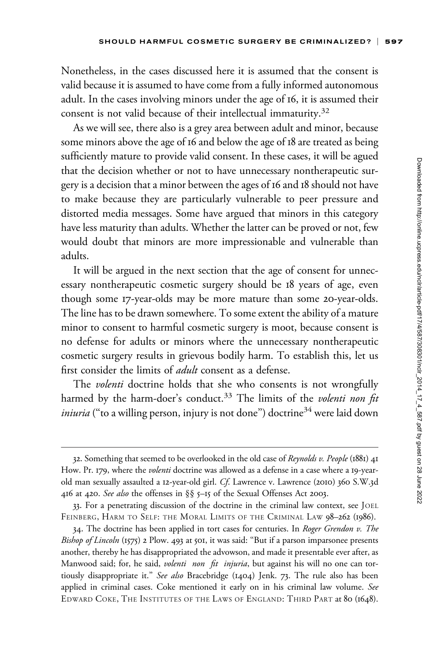Nonetheless, in the cases discussed here it is assumed that the consent is valid because it is assumed to have come from a fully informed autonomous adult. In the cases involving minors under the age of 16, it is assumed their consent is not valid because of their intellectual immaturity.<sup>32</sup>

As we will see, there also is a grey area between adult and minor, because some minors above the age of 16 and below the age of 18 are treated as being sufficiently mature to provide valid consent. In these cases, it will be agued that the decision whether or not to have unnecessary nontherapeutic surgery is a decision that a minor between the ages of 16 and 18 should not have to make because they are particularly vulnerable to peer pressure and distorted media messages. Some have argued that minors in this category have less maturity than adults. Whether the latter can be proved or not, few would doubt that minors are more impressionable and vulnerable than adults.

It will be argued in the next section that the age of consent for unnecessary nontherapeutic cosmetic surgery should be 18 years of age, even though some 17-year-olds may be more mature than some 20-year-olds. The line has to be drawn somewhere. To some extent the ability of a mature minor to consent to harmful cosmetic surgery is moot, because consent is no defense for adults or minors where the unnecessary nontherapeutic cosmetic surgery results in grievous bodily harm. To establish this, let us first consider the limits of *adult* consent as a defense.

The *volenti* doctrine holds that she who consents is not wrongfully harmed by the harm-doer's conduct.<sup>33</sup> The limits of the volenti non fit *iniuria* ("to a willing person, injury is not done") doctrine<sup>34</sup> were laid down

<sup>32.</sup> Something that seemed to be overlooked in the old case of *Reynolds v. People* (1881) 41 How. Pr. 179, where the *volenti* doctrine was allowed as a defense in a case where a 19-yearold man sexually assaulted a 12-year-old girl. Cf. Lawrence v. Lawrence (2010) 360 S.W.3d 416 at 420. See also the offenses in §§ 5–15 of the Sexual Offenses Act 2003.

<sup>33.</sup> For a penetrating discussion of the doctrine in the criminal law context, see JOEL FEINBERG, HARM TO SELF: THE MORAL LIMITS OF THE CRIMINAL LAW 98-262 (1986).

<sup>34.</sup> The doctrine has been applied in tort cases for centuries. In Roger Grendon v. The Bishop of Lincoln (1575) 2 Plow. 493 at 501, it was said: "But if a parson imparsonee presents another, thereby he has disappropriated the advowson, and made it presentable ever after, as Manwood said; for, he said, volenti non fit injuria, but against his will no one can tortiously disappropriate it." See also Bracebridge (1404) Jenk. 73. The rule also has been applied in criminal cases. Coke mentioned it early on in his criminal law volume. See EDWARD COKE, THE INSTITUTES OF THE LAWS OF ENGLAND: THIRD PART at 80 (1648).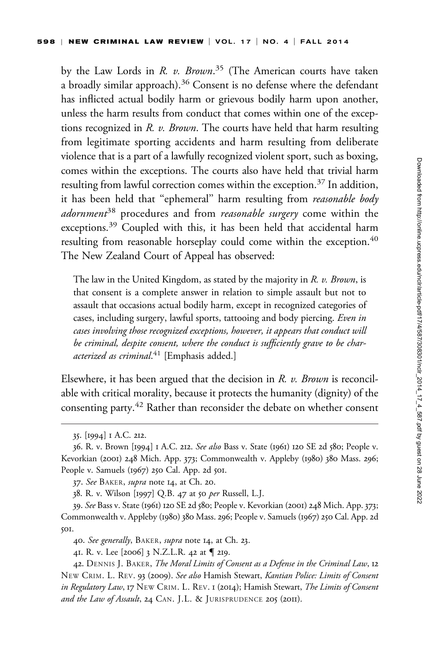by the Law Lords in R. v. Brown.<sup>35</sup> (The American courts have taken a broadly similar approach).<sup>36</sup> Consent is no defense where the defendant has inflicted actual bodily harm or grievous bodily harm upon another, unless the harm results from conduct that comes within one of the exceptions recognized in R. v. Brown. The courts have held that harm resulting from legitimate sporting accidents and harm resulting from deliberate violence that is a part of a lawfully recognized violent sport, such as boxing, comes within the exceptions. The courts also have held that trivial harm resulting from lawful correction comes within the exception.<sup>37</sup> In addition, it has been held that "ephemeral" harm resulting from reasonable body  $adormmen<sup>38</sup>$  procedures and from *reasonable surgery* come within the exceptions.<sup>39</sup> Coupled with this, it has been held that accidental harm resulting from reasonable horseplay could come within the exception.<sup>40</sup> The New Zealand Court of Appeal has observed:

The law in the United Kingdom, as stated by the majority in R. v. Brown, is that consent is a complete answer in relation to simple assault but not to assault that occasions actual bodily harm, except in recognized categories of cases, including surgery, lawful sports, tattooing and body piercing. Even in cases involving those recognized exceptions, however, it appears that conduct will be criminal, despite consent, where the conduct is sufficiently grave to be characterized as criminal.<sup>41</sup> [Emphasis added.]

Elsewhere, it has been argued that the decision in R. v. Brown is reconcilable with critical morality, because it protects the humanity (dignity) of the consenting party.<sup>42</sup> Rather than reconsider the debate on whether consent

<sup>35.</sup> [1994] 1 A.C. 212.

<sup>36.</sup> R. v. Brown [1994] 1 A.C. 212. See also Bass v. State (1961) 120 SE 2d 580; People v. Kevorkian (2001) 248 Mich. App. 373; Commonwealth v. Appleby (1980) 380 Mass. 296; People v. Samuels (1967) 250 Cal. App. 2d 501.

<sup>37.</sup> See BAKER, *supra* note 14, at Ch. 20.

<sup>38.</sup> R. v. Wilson [1997] Q.B. 47 at 50 per Russell, L.J.

<sup>39.</sup> See Bass v. State (1961) 120 SE 2d 580; People v. Kevorkian (2001) 248 Mich. App. 373; Commonwealth v. Appleby (1980) 380 Mass. 296; People v. Samuels (1967) 250 Cal. App. 2d 501.

<sup>40.</sup> See generally, BAKER, supra note 14, at Ch. 23.

<sup>41.</sup> R. v. Lee [2006] 3 N.Z.L.R. 42 at { 219.

<sup>42.</sup> DENNIS J. BAKER, The Moral Limits of Consent as a Defense in the Criminal Law, 12 NEW CRIM. L. REV. 93 (2009). See also Hamish Stewart, Kantian Police: Limits of Consent in Regulatory Law, 17 NEW CRIM. L. REV. 1 (2014); Hamish Stewart, The Limits of Consent and the Law of Assault, 24 CAN. J.L. & JURISPRUDENCE 205 (2011).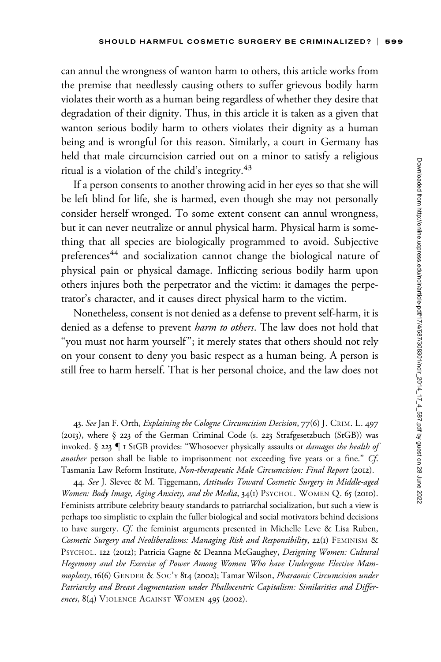can annul the wrongness of wanton harm to others, this article works from the premise that needlessly causing others to suffer grievous bodily harm violates their worth as a human being regardless of whether they desire that degradation of their dignity. Thus, in this article it is taken as a given that wanton serious bodily harm to others violates their dignity as a human being and is wrongful for this reason. Similarly, a court in Germany has held that male circumcision carried out on a minor to satisfy a religious ritual is a violation of the child's integrity.<sup>43</sup>

If a person consents to another throwing acid in her eyes so that she will be left blind for life, she is harmed, even though she may not personally consider herself wronged. To some extent consent can annul wrongness, but it can never neutralize or annul physical harm. Physical harm is something that all species are biologically programmed to avoid. Subjective preferences<sup>44</sup> and socialization cannot change the biological nature of physical pain or physical damage. Inflicting serious bodily harm upon others injures both the perpetrator and the victim: it damages the perpetrator's character, and it causes direct physical harm to the victim.

Nonetheless, consent is not denied as a defense to prevent self-harm, it is denied as a defense to prevent *harm to others*. The law does not hold that "you must not harm yourself"; it merely states that others should not rely on your consent to deny you basic respect as a human being. A person is still free to harm herself. That is her personal choice, and the law does not

44. See J. Slevec & M. Tiggemann, Attitudes Toward Cosmetic Surgery in Middle-aged Women: Body Image, Aging Anxiety, and the Media, 34(1) PSYCHOL. WOMEN Q. 65 (2010). Feminists attribute celebrity beauty standards to patriarchal socialization, but such a view is perhaps too simplistic to explain the fuller biological and social motivators behind decisions to have surgery. Cf. the feminist arguments presented in Michelle Leve & Lisa Ruben, Cosmetic Surgery and Neoliberalisms: Managing Risk and Responsibility, 22(1) FEMINISM & PSYCHOL. 122 (2012); Patricia Gagne & Deanna McGaughey, Designing Women: Cultural Hegemony and the Exercise of Power Among Women Who have Undergone Elective Mammoplasty, 16(6) GENDER & SOC'Y 814 (2002); Tamar Wilson, Pharaonic Circumcision under Patriarchy and Breast Augmentation under Phallocentric Capitalism: Similarities and Differences, 8(4) VIOLENCE AGAINST WOMEN 495 (2002).

<sup>43.</sup> See Jan F. Orth, Explaining the Cologne Circumcision Decision, 77(6) J. CRIM. L. 497 (2013), where § 223 of the German Criminal Code (s. 223 Strafgesetzbuch (StGB)) was invoked.  $\S$  223  $\P$  I StGB provides: "Whosoever physically assaults or *damages the health of* another person shall be liable to imprisonment not exceeding five years or a fine." Cf. Tasmania Law Reform Institute, Non-therapeutic Male Circumcision: Final Report (2012).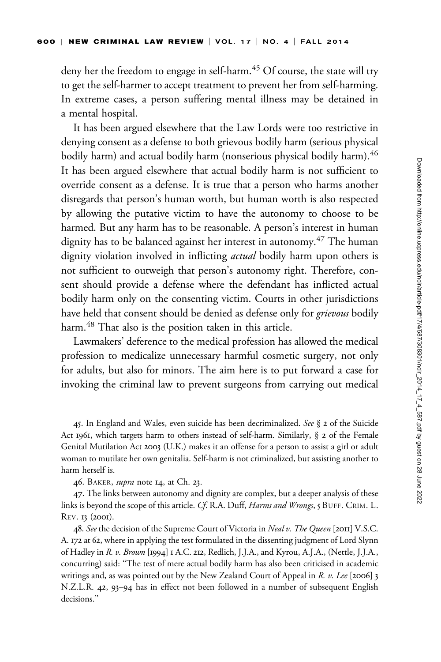deny her the freedom to engage in self-harm.<sup>45</sup> Of course, the state will try to get the self-harmer to accept treatment to prevent her from self-harming. In extreme cases, a person suffering mental illness may be detained in a mental hospital.

It has been argued elsewhere that the Law Lords were too restrictive in denying consent as a defense to both grievous bodily harm (serious physical bodily harm) and actual bodily harm (nonserious physical bodily harm).<sup>46</sup> It has been argued elsewhere that actual bodily harm is not sufficient to override consent as a defense. It is true that a person who harms another disregards that person's human worth, but human worth is also respected by allowing the putative victim to have the autonomy to choose to be harmed. But any harm has to be reasonable. A person's interest in human dignity has to be balanced against her interest in autonomy.<sup>47</sup> The human dignity violation involved in inflicting actual bodily harm upon others is not sufficient to outweigh that person's autonomy right. Therefore, consent should provide a defense where the defendant has inflicted actual bodily harm only on the consenting victim. Courts in other jurisdictions have held that consent should be denied as defense only for grievous bodily harm.<sup>48</sup> That also is the position taken in this article.

Lawmakers' deference to the medical profession has allowed the medical profession to medicalize unnecessary harmful cosmetic surgery, not only for adults, but also for minors. The aim here is to put forward a case for invoking the criminal law to prevent surgeons from carrying out medical

<sup>45.</sup> In England and Wales, even suicide has been decriminalized. See  $\S$  2 of the Suicide Act 1961, which targets harm to others instead of self-harm. Similarly, § 2 of the Female Genital Mutilation Act 2003 (U.K.) makes it an offense for a person to assist a girl or adult woman to mutilate her own genitalia. Self-harm is not criminalized, but assisting another to harm herself is.

<sup>46.</sup> BAKER, *supra* note 14, at Ch. 23.

<sup>47.</sup> The links between autonomy and dignity are complex, but a deeper analysis of these links is beyond the scope of this article. Cf. R.A. Duff, Harms and Wrongs, 5 BUFF. CRIM. L. REV. 13 (2001).

<sup>48.</sup> See the decision of the Supreme Court of Victoria in *Neal v. The Queen* [2011] V.S.C. A. 172 at 62, where in applying the test formulated in the dissenting judgment of Lord Slynn of Hadley in R. v. Brown [1994] 1 A.C. 212, Redlich, J.J.A., and Kyrou, A.J.A., (Nettle, J.J.A., concurring) said: ''The test of mere actual bodily harm has also been criticised in academic writings and, as was pointed out by the New Zealand Court of Appeal in R. v. Lee [2006] 3 N.Z.L.R. 42, 93–94 has in effect not been followed in a number of subsequent English decisions."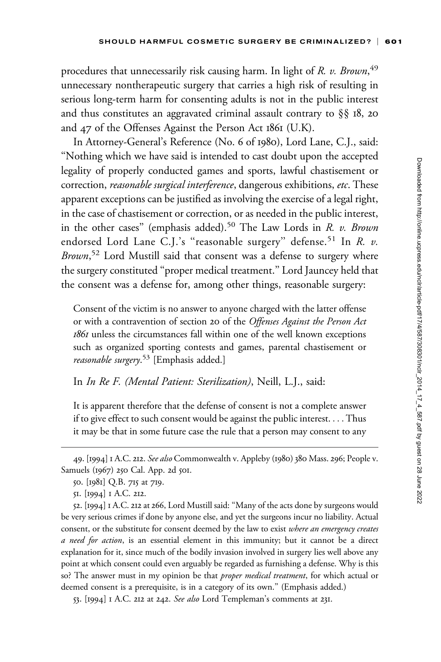procedures that unnecessarily risk causing harm. In light of R. v. Brown, <sup>49</sup> unnecessary nontherapeutic surgery that carries a high risk of resulting in serious long-term harm for consenting adults is not in the public interest and thus constitutes an aggravated criminal assault contrary to §§ 18, 20 and 47 of the Offenses Against the Person Act 1861 (U.K).

In Attorney-General's Reference (No. 6 of 1980), Lord Lane, C.J., said: ''Nothing which we have said is intended to cast doubt upon the accepted legality of properly conducted games and sports, lawful chastisement or correction, reasonable surgical interference, dangerous exhibitions, etc. These apparent exceptions can be justified as involving the exercise of a legal right, in the case of chastisement or correction, or as needed in the public interest, in the other cases" (emphasis added).<sup>50</sup> The Law Lords in  $R$ . v. Brown endorsed Lord Lane C.J.'s "reasonable surgery" defense.<sup>51</sup> In  $R$ .  $v$ . Brown,<sup>52</sup> Lord Mustill said that consent was a defense to surgery where the surgery constituted ''proper medical treatment.'' Lord Jauncey held that the consent was a defense for, among other things, reasonable surgery:

Consent of the victim is no answer to anyone charged with the latter offense or with a contravention of section 20 of the Offenses Against the Person Act 1861 unless the circumstances fall within one of the well known exceptions such as organized sporting contests and games, parental chastisement or reasonable surgery.<sup>53</sup> [Emphasis added.]

In In Re F. (Mental Patient: Sterilization), Neill, L.J., said:

It is apparent therefore that the defense of consent is not a complete answer if to give effect to such consent would be against the public interest. ... Thus it may be that in some future case the rule that a person may consent to any

52. [1994] 1 A.C. 212 at 266, Lord Mustill said: ''Many of the acts done by surgeons would be very serious crimes if done by anyone else, and yet the surgeons incur no liability. Actual consent, or the substitute for consent deemed by the law to exist where an emergency creates a need for action, is an essential element in this immunity; but it cannot be a direct explanation for it, since much of the bodily invasion involved in surgery lies well above any point at which consent could even arguably be regarded as furnishing a defense. Why is this so? The answer must in my opinion be that *proper medical treatment*, for which actual or deemed consent is a prerequisite, is in a category of its own.'' (Emphasis added.)

53. [1994] 1 A.C. 212 at 242. See also Lord Templeman's comments at 231.

<sup>49. [1994] 1</sup> A.C. 212. See also Commonwealth v. Appleby (1980) 380 Mass. 296; People v. Samuels (1967) 250 Cal. App. 2d 501.

<sup>50.</sup> [1981] Q.B. 715 at 719.

<sup>51.</sup> [1994] 1 A.C. 212.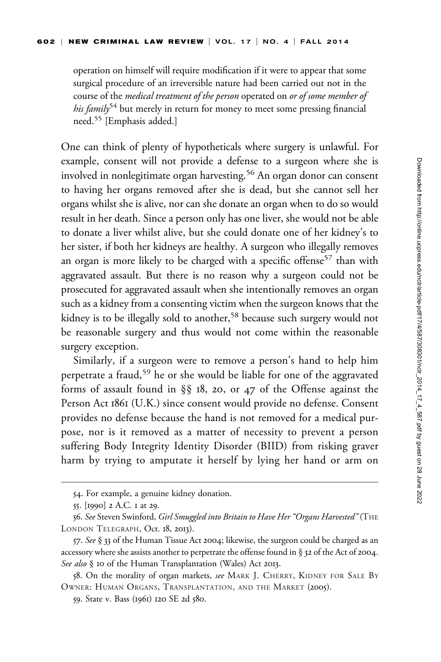operation on himself will require modification if it were to appear that some surgical procedure of an irreversible nature had been carried out not in the course of the medical treatment of the person operated on or of some member of his family<sup>54</sup> but merely in return for money to meet some pressing financial need.<sup>55</sup> [Emphasis added.]

One can think of plenty of hypotheticals where surgery is unlawful. For example, consent will not provide a defense to a surgeon where she is involved in nonlegitimate organ harvesting.<sup>56</sup> An organ donor can consent to having her organs removed after she is dead, but she cannot sell her organs whilst she is alive, nor can she donate an organ when to do so would result in her death. Since a person only has one liver, she would not be able to donate a liver whilst alive, but she could donate one of her kidney's to her sister, if both her kidneys are healthy. A surgeon who illegally removes an organ is more likely to be charged with a specific offense<sup>57</sup> than with aggravated assault. But there is no reason why a surgeon could not be prosecuted for aggravated assault when she intentionally removes an organ such as a kidney from a consenting victim when the surgeon knows that the kidney is to be illegally sold to another,<sup>58</sup> because such surgery would not be reasonable surgery and thus would not come within the reasonable surgery exception.

Similarly, if a surgeon were to remove a person's hand to help him perpetrate a fraud,<sup>59</sup> he or she would be liable for one of the aggravated forms of assault found in §§ 18, 20, or 47 of the Offense against the Person Act 1861 (U.K.) since consent would provide no defense. Consent provides no defense because the hand is not removed for a medical purpose, nor is it removed as a matter of necessity to prevent a person suffering Body Integrity Identity Disorder (BIID) from risking graver harm by trying to amputate it herself by lying her hand or arm on

<sup>54.</sup> For example, a genuine kidney donation.

<sup>55.</sup> [1990] 2 A.C. 1 at 29.

<sup>56.</sup> See Steven Swinford, Girl Smuggled into Britain to Have Her "Organs Harvested" (THE LONDON TELEGRAPH, Oct. 18, 2013).

<sup>57.</sup> See § 33 of the Human Tissue Act 2004; likewise, the surgeon could be charged as an accessory where she assists another to perpetrate the offense found in § 32 of the Act of 2004. See also § 10 of the Human Transplantation (Wales) Act 2013.

<sup>58.</sup> On the morality of organ markets, see MARK J. CHERRY, KIDNEY FOR SALE BY OWNER: HUMAN ORGANS, TRANSPLANTATION, AND THE MARKET (2005).

<sup>59.</sup> State v. Bass (1961) 120 SE 2d 580.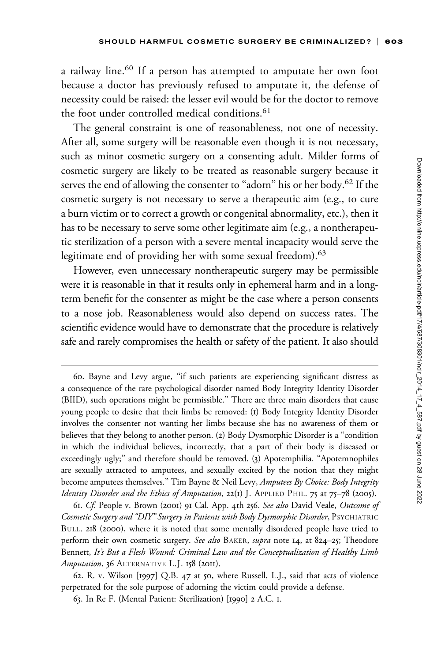a railway line.<sup>60</sup> If a person has attempted to amputate her own foot because a doctor has previously refused to amputate it, the defense of necessity could be raised: the lesser evil would be for the doctor to remove the foot under controlled medical conditions.<sup>61</sup>

The general constraint is one of reasonableness, not one of necessity. After all, some surgery will be reasonable even though it is not necessary, such as minor cosmetic surgery on a consenting adult. Milder forms of cosmetic surgery are likely to be treated as reasonable surgery because it serves the end of allowing the consenter to "adorn" his or her body.<sup>62</sup> If the cosmetic surgery is not necessary to serve a therapeutic aim (e.g., to cure a burn victim or to correct a growth or congenital abnormality, etc.), then it has to be necessary to serve some other legitimate aim (e.g., a nontherapeutic sterilization of a person with a severe mental incapacity would serve the legitimate end of providing her with some sexual freedom).<sup>63</sup>

However, even unnecessary nontherapeutic surgery may be permissible were it is reasonable in that it results only in ephemeral harm and in a longterm benefit for the consenter as might be the case where a person consents to a nose job. Reasonableness would also depend on success rates. The scientific evidence would have to demonstrate that the procedure is relatively safe and rarely compromises the health or safety of the patient. It also should

61. Cf. People v. Brown (2001) 91 Cal. App. 4th 256. See also David Veale, Outcome of Cosmetic Surgery and ''DIY'' Surgery in Patients with Body Dysmorphic Disorder, PSYCHIATRIC BULL. 218 (2000), where it is noted that some mentally disordered people have tried to perform their own cosmetic surgery. See also BAKER, supra note 14, at 824-25; Theodore Bennett, It's But a Flesh Wound: Criminal Law and the Conceptualization of Healthy Limb Amputation, 36 ALTERNATIVE L.J. 158 (2011).

62. R. v. Wilson [1997] Q.B. 47 at 50, where Russell, L.J., said that acts of violence perpetrated for the sole purpose of adorning the victim could provide a defense.

63. In Re F. (Mental Patient: Sterilization) [1990] 2 A.C. 1.

<sup>60.</sup> Bayne and Levy argue, ''if such patients are experiencing significant distress as a consequence of the rare psychological disorder named Body Integrity Identity Disorder (BIID), such operations might be permissible.'' There are three main disorders that cause young people to desire that their limbs be removed: (1) Body Integrity Identity Disorder involves the consenter not wanting her limbs because she has no awareness of them or believes that they belong to another person. (2) Body Dysmorphic Disorder is a ''condition in which the individual believes, incorrectly, that a part of their body is diseased or exceedingly ugly;'' and therefore should be removed. (3) Apotemphilia. ''Apotemnophiles are sexually attracted to amputees, and sexually excited by the notion that they might become amputees themselves." Tim Bayne & Neil Levy, Amputees By Choice: Body Integrity Identity Disorder and the Ethics of Amputation, 22(1) J. APPLIED PHIL. 75 at 75–78 (2005).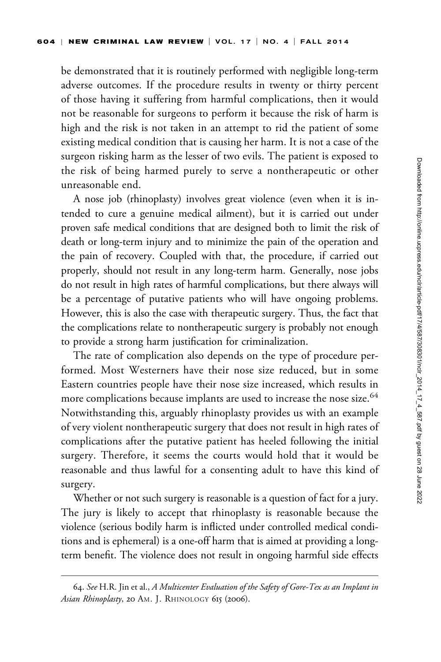be demonstrated that it is routinely performed with negligible long-term adverse outcomes. If the procedure results in twenty or thirty percent of those having it suffering from harmful complications, then it would not be reasonable for surgeons to perform it because the risk of harm is high and the risk is not taken in an attempt to rid the patient of some existing medical condition that is causing her harm. It is not a case of the surgeon risking harm as the lesser of two evils. The patient is exposed to the risk of being harmed purely to serve a nontherapeutic or other unreasonable end.

A nose job (rhinoplasty) involves great violence (even when it is intended to cure a genuine medical ailment), but it is carried out under proven safe medical conditions that are designed both to limit the risk of death or long-term injury and to minimize the pain of the operation and the pain of recovery. Coupled with that, the procedure, if carried out properly, should not result in any long-term harm. Generally, nose jobs do not result in high rates of harmful complications, but there always will be a percentage of putative patients who will have ongoing problems. However, this is also the case with therapeutic surgery. Thus, the fact that the complications relate to nontherapeutic surgery is probably not enough to provide a strong harm justification for criminalization.

The rate of complication also depends on the type of procedure performed. Most Westerners have their nose size reduced, but in some Eastern countries people have their nose size increased, which results in more complications because implants are used to increase the nose size.<sup>64</sup> Notwithstanding this, arguably rhinoplasty provides us with an example of very violent nontherapeutic surgery that does not result in high rates of complications after the putative patient has heeled following the initial surgery. Therefore, it seems the courts would hold that it would be reasonable and thus lawful for a consenting adult to have this kind of surgery.

Whether or not such surgery is reasonable is a question of fact for a jury. The jury is likely to accept that rhinoplasty is reasonable because the violence (serious bodily harm is inflicted under controlled medical conditions and is ephemeral) is a one-off harm that is aimed at providing a longterm benefit. The violence does not result in ongoing harmful side effects

<sup>64.</sup> See H.R. Jin et al., A Multicenter Evaluation of the Safety of Gore-Tex as an Implant in Asian Rhinoplasty, 20 AM. J. RHINOLOGY 615 (2006).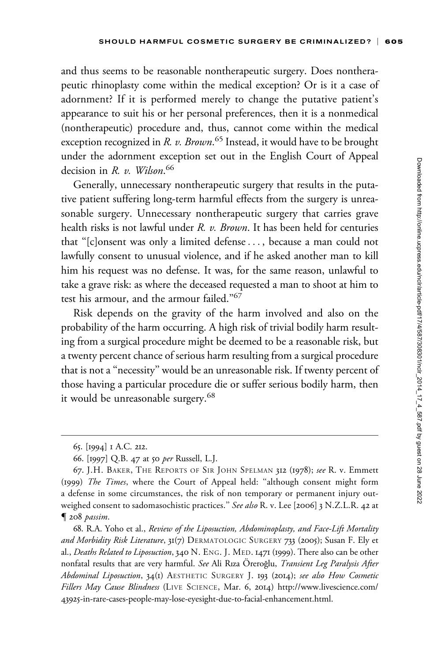and thus seems to be reasonable nontherapeutic surgery. Does nontherapeutic rhinoplasty come within the medical exception? Or is it a case of adornment? If it is performed merely to change the putative patient's appearance to suit his or her personal preferences, then it is a nonmedical (nontherapeutic) procedure and, thus, cannot come within the medical exception recognized in *R. v. Brown.<sup>65</sup> Instead, it would have to be brought* under the adornment exception set out in the English Court of Appeal decision in R. v. Wilson.<sup>66</sup>

Generally, unnecessary nontherapeutic surgery that results in the putative patient suffering long-term harmful effects from the surgery is unreasonable surgery. Unnecessary nontherapeutic surgery that carries grave health risks is not lawful under R. v. Brown. It has been held for centuries that ''[c]onsent was only a limited defense... , because a man could not lawfully consent to unusual violence, and if he asked another man to kill him his request was no defense. It was, for the same reason, unlawful to take a grave risk: as where the deceased requested a man to shoot at him to test his armour, and the armour failed.''67

Risk depends on the gravity of the harm involved and also on the probability of the harm occurring. A high risk of trivial bodily harm resulting from a surgical procedure might be deemed to be a reasonable risk, but a twenty percent chance of serious harm resulting from a surgical procedure that is not a ''necessity'' would be an unreasonable risk. If twenty percent of those having a particular procedure die or suffer serious bodily harm, then it would be unreasonable surgery.<sup>68</sup>

68. R.A. Yoho et al., Review of the Liposuction, Abdominoplasty, and Face-Lift Mortality and Morbidity Risk Literature, 31(7) DERMATOLOGIC SURGERY 733 (2005); Susan F. Ely et al., Deaths Related to Liposuction, 340 N. ENG. J. MED. 1471 (1999). There also can be other nonfatal results that are very harmful. See Ali Rıza Öreroğlu, Transient Leg Paralysis After Abdominal Liposuction, 34(1) AESTHETIC SURGERY J. 193 (2014); see also How Cosmetic Fillers May Cause Blindness (LIVE SCIENCE, Mar. 6, 2014) [http://www.livescience.com/](http://www.livescience.com/43925-in-rare-cases-people-may-lose-eyesight-due-to-facial-enhancement.html) 43925[-in-rare-cases-people-may-lose-eyesight-due-to-facial-enhancement.html.](http://www.livescience.com/43925-in-rare-cases-people-may-lose-eyesight-due-to-facial-enhancement.html)

<sup>65.</sup> [1994] 1 A.C. 212.

<sup>66.</sup> [1997] Q.B. 47 at 50 per Russell, L.J.

<sup>67.</sup> J.H. BAKER, THE REPORTS OF SIR JOHN SPELMAN 312 (1978); see R. v. Emmett (1999) The Times, where the Court of Appeal held: ''although consent might form a defense in some circumstances, the risk of non temporary or permanent injury outweighed consent to sadomasochistic practices." See also R. v. Lee [2006] 3 N.Z.L.R. 42 at  $\mathbb{I}$  208 passim.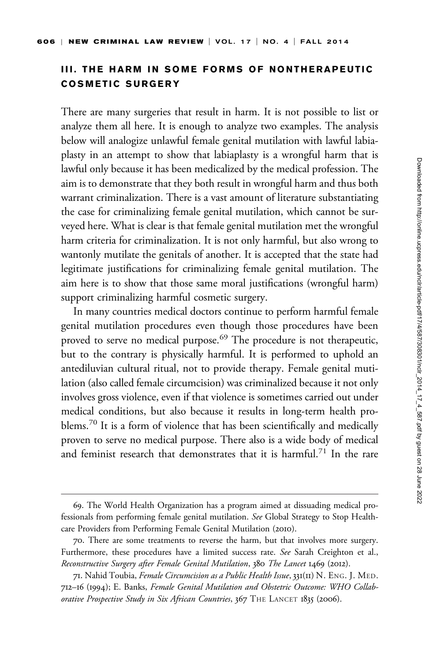## III. THE HARM IN SOME FORMS OF NONTHERAPEUTIC COSMETIC SURGERY

There are many surgeries that result in harm. It is not possible to list or analyze them all here. It is enough to analyze two examples. The analysis below will analogize unlawful female genital mutilation with lawful labiaplasty in an attempt to show that labiaplasty is a wrongful harm that is lawful only because it has been medicalized by the medical profession. The aim is to demonstrate that they both result in wrongful harm and thus both warrant criminalization. There is a vast amount of literature substantiating the case for criminalizing female genital mutilation, which cannot be surveyed here. What is clear is that female genital mutilation met the wrongful harm criteria for criminalization. It is not only harmful, but also wrong to wantonly mutilate the genitals of another. It is accepted that the state had legitimate justifications for criminalizing female genital mutilation. The aim here is to show that those same moral justifications (wrongful harm) support criminalizing harmful cosmetic surgery.

In many countries medical doctors continue to perform harmful female genital mutilation procedures even though those procedures have been proved to serve no medical purpose.<sup>69</sup> The procedure is not therapeutic, but to the contrary is physically harmful. It is performed to uphold an antediluvian cultural ritual, not to provide therapy. Female genital mutilation (also called female circumcision) was criminalized because it not only involves gross violence, even if that violence is sometimes carried out under medical conditions, but also because it results in long-term health problems.<sup>70</sup> It is a form of violence that has been scientifically and medically proven to serve no medical purpose. There also is a wide body of medical and feminist research that demonstrates that it is harmful.<sup>71</sup> In the rare

<sup>69.</sup> The World Health Organization has a program aimed at dissuading medical professionals from performing female genital mutilation. See Global Strategy to Stop Healthcare Providers from Performing Female Genital Mutilation (2010).

<sup>70.</sup> There are some treatments to reverse the harm, but that involves more surgery. Furthermore, these procedures have a limited success rate. See Sarah Creighton et al., Reconstructive Surgery after Female Genital Mutilation, 380 The Lancet 1469 (2012).

<sup>71.</sup> Nahid Toubia, Female Circumcision as a Public Health Issue, 331(II) N. ENG. J. MED. 712–16 (1994); E. Banks, Female Genital Mutilation and Obstetric Outcome: WHO Collaborative Prospective Study in Six African Countries, 367 THE LANCET 1835 (2006).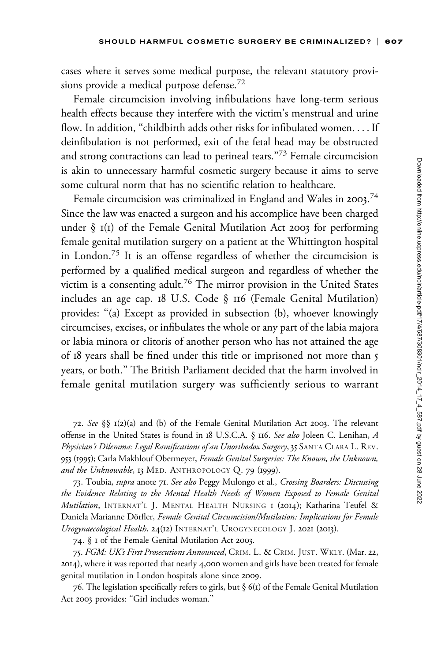cases where it serves some medical purpose, the relevant statutory provisions provide a medical purpose defense.<sup>72</sup>

Female circumcision involving infibulations have long-term serious health effects because they interfere with the victim's menstrual and urine flow. In addition, "childbirth adds other risks for infibulated women.... If deinfibulation is not performed, exit of the fetal head may be obstructed and strong contractions can lead to perineal tears."<sup>73</sup> Female circumcision is akin to unnecessary harmful cosmetic surgery because it aims to serve some cultural norm that has no scientific relation to healthcare.

Female circumcision was criminalized in England and Wales in 2003.<sup>74</sup> Since the law was enacted a surgeon and his accomplice have been charged under  $\S$  I(I) of the Female Genital Mutilation Act 2003 for performing female genital mutilation surgery on a patient at the Whittington hospital in London.<sup>75</sup> It is an offense regardless of whether the circumcision is performed by a qualified medical surgeon and regardless of whether the victim is a consenting adult.<sup>76</sup> The mirror provision in the United States includes an age cap. 18 U.S. Code § 116 (Female Genital Mutilation) provides: ''(a) Except as provided in subsection (b), whoever knowingly circumcises, excises, or infibulates the whole or any part of the labia majora or labia minora or clitoris of another person who has not attained the age of 18 years shall be fined under this title or imprisoned not more than 5 years, or both.'' The British Parliament decided that the harm involved in female genital mutilation surgery was sufficiently serious to warrant

<sup>72.</sup> See §§ 1(2)(a) and (b) of the Female Genital Mutilation Act 2003. The relevant offense in the United States is found in 18 U.S.C.A. § 116. See also Joleen C. Lenihan, A Physician's Dilemma: Legal Ramifications of an Unorthodox Surgery, 35 SANTA CLARA L. REV. 953 (1995); Carla Makhlouf Obermeyer, Female Genital Surgeries: The Known, the Unknown, and the Unknowable, 13 MED. ANTHROPOLOGY Q. 79 (1999).

<sup>73.</sup> Toubia, supra anote 71. See also Peggy Mulongo et al., Crossing Boarders: Discussing the Evidence Relating to the Mental Health Needs of Women Exposed to Female Genital Mutilation, INTERNAT'L J. MENTAL HEALTH NURSING I (2014); Katharina Teufel & Daniela Marianne Dörfler, Female Genital Circumcision/Mutilation: Implications for Female Urogynaecological Health, 24(12) INTERNAT'L UROGYNECOLOGY J. 2021 (2013).

<sup>74.</sup> § 1 of the Female Genital Mutilation Act 2003.

<sup>75.</sup> FGM: UK's First Prosecutions Announced, CRIM. L. & CRIM. JUST. WKLY. (Mar. 22, 2014), where it was reported that nearly 4,000 women and girls have been treated for female genital mutilation in London hospitals alone since 2009.

<sup>76.</sup> The legislation specifically refers to girls, but  $\S$  6(1) of the Female Genital Mutilation Act 2003 provides: ''Girl includes woman.''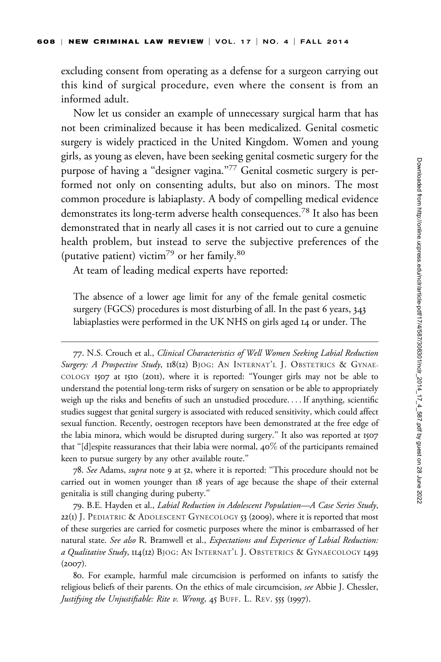excluding consent from operating as a defense for a surgeon carrying out this kind of surgical procedure, even where the consent is from an informed adult.

Now let us consider an example of unnecessary surgical harm that has not been criminalized because it has been medicalized. Genital cosmetic surgery is widely practiced in the United Kingdom. Women and young girls, as young as eleven, have been seeking genital cosmetic surgery for the purpose of having a "designer vagina."<sup>77</sup> Genital cosmetic surgery is performed not only on consenting adults, but also on minors. The most common procedure is labiaplasty. A body of compelling medical evidence demonstrates its long-term adverse health consequences.<sup>78</sup> It also has been demonstrated that in nearly all cases it is not carried out to cure a genuine health problem, but instead to serve the subjective preferences of the (putative patient) victim<sup>79</sup> or her family.<sup>80</sup>

At team of leading medical experts have reported:

The absence of a lower age limit for any of the female genital cosmetic surgery (FGCS) procedures is most disturbing of all. In the past 6 years, 343 labiaplasties were performed in the UK NHS on girls aged 14 or under. The

77. N.S. Crouch et al., Clinical Characteristics of Well Women Seeking Labial Reduction Surgery: A Prospective Study, 118(12) BJOG: AN INTERNAT'L J. OBSTETRICS & GYNAE-COLOGY 1507 at 1510 (2011), where it is reported: ''Younger girls may not be able to understand the potential long-term risks of surgery on sensation or be able to appropriately weigh up the risks and benefits of such an unstudied procedure. ...If anything, scientific studies suggest that genital surgery is associated with reduced sensitivity, which could affect sexual function. Recently, oestrogen receptors have been demonstrated at the free edge of the labia minora, which would be disrupted during surgery.'' It also was reported at 1507 that "[d]espite reassurances that their labia were normal,  $40\%$  of the participants remained keen to pursue surgery by any other available route.''

78. See Adams, supra note 9 at 52, where it is reported: ''This procedure should not be carried out in women younger than 18 years of age because the shape of their external genitalia is still changing during puberty.''

79. B.E. Hayden et al., Labial Reduction in Adolescent Population—A Case Series Study, 22(1) J. PEDIATRIC & ADOLESCENT GYNECOLOGY  $53$  (2009), where it is reported that most of these surgeries are carried for cosmetic purposes where the minor is embarrassed of her natural state. See also R. Bramwell et al., Expectations and Experience of Labial Reduction: a Qualitative Study, 114(12) BJOG: AN INTERNAT'L J. OBSTETRICS & GYNAECOLOGY 1493  $(2007).$ 

<sup>80.</sup> For example, harmful male circumcision is performed on infants to satisfy the religious beliefs of their parents. On the ethics of male circumcision, see Abbie J. Chessler, Justifying the Unjustifiable: Rite v. Wrong, 45 BUFF. L. REV. 555 (1997).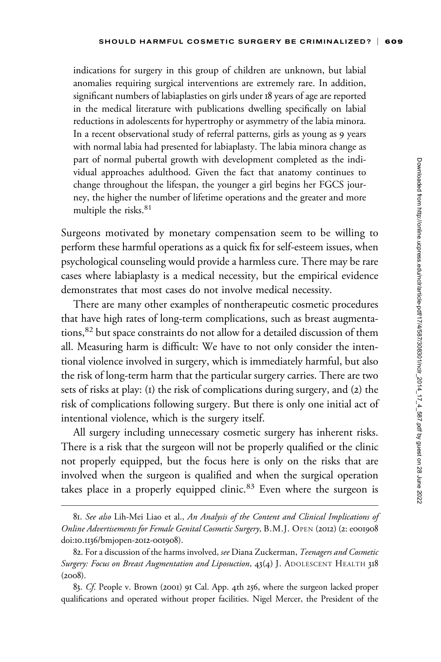indications for surgery in this group of children are unknown, but labial anomalies requiring surgical interventions are extremely rare. In addition, significant numbers of labiaplasties on girls under 18 years of age are reported in the medical literature with publications dwelling specifically on labial reductions in adolescents for hypertrophy or asymmetry of the labia minora. In a recent observational study of referral patterns, girls as young as 9 years with normal labia had presented for labiaplasty. The labia minora change as part of normal pubertal growth with development completed as the individual approaches adulthood. Given the fact that anatomy continues to change throughout the lifespan, the younger a girl begins her FGCS journey, the higher the number of lifetime operations and the greater and more multiple the risks.<sup>81</sup>

Surgeons motivated by monetary compensation seem to be willing to perform these harmful operations as a quick fix for self-esteem issues, when psychological counseling would provide a harmless cure. There may be rare cases where labiaplasty is a medical necessity, but the empirical evidence demonstrates that most cases do not involve medical necessity.

There are many other examples of nontherapeutic cosmetic procedures that have high rates of long-term complications, such as breast augmentations,<sup>82</sup> but space constraints do not allow for a detailed discussion of them all. Measuring harm is difficult: We have to not only consider the intentional violence involved in surgery, which is immediately harmful, but also the risk of long-term harm that the particular surgery carries. There are two sets of risks at play: (1) the risk of complications during surgery, and (2) the risk of complications following surgery. But there is only one initial act of intentional violence, which is the surgery itself.

All surgery including unnecessary cosmetic surgery has inherent risks. There is a risk that the surgeon will not be properly qualified or the clinic not properly equipped, but the focus here is only on the risks that are involved when the surgeon is qualified and when the surgical operation takes place in a properly equipped clinic.<sup>83</sup> Even where the surgeon is

<sup>81.</sup> See also Lih-Mei Liao et al., An Analysis of the Content and Clinical Implications of Online Advertisements for Female Genital Cosmetic Surgery, B.M.J. OPEN (2012) (2: e001908 doi:10.1136/bmjopen-2012-001908).

<sup>82.</sup> For a discussion of the harms involved, see Diana Zuckerman, Teenagers and Cosmetic Surgery: Focus on Breast Augmentation and Liposuction, 43(4) J. ADOLESCENT HEALTH 318  $(2008).$ 

<sup>83.</sup> Cf. People v. Brown (2001) 91 Cal. App. 4th 256, where the surgeon lacked proper qualifications and operated without proper facilities. Nigel Mercer, the President of the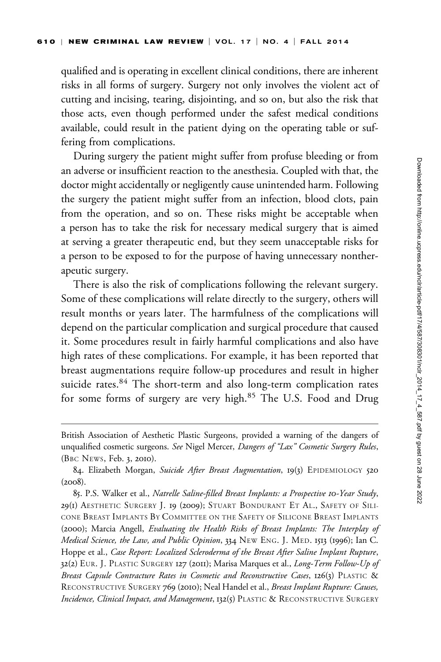qualified and is operating in excellent clinical conditions, there are inherent risks in all forms of surgery. Surgery not only involves the violent act of cutting and incising, tearing, disjointing, and so on, but also the risk that those acts, even though performed under the safest medical conditions available, could result in the patient dying on the operating table or suffering from complications.

During surgery the patient might suffer from profuse bleeding or from an adverse or insufficient reaction to the anesthesia. Coupled with that, the doctor might accidentally or negligently cause unintended harm. Following the surgery the patient might suffer from an infection, blood clots, pain from the operation, and so on. These risks might be acceptable when a person has to take the risk for necessary medical surgery that is aimed at serving a greater therapeutic end, but they seem unacceptable risks for a person to be exposed to for the purpose of having unnecessary nontherapeutic surgery.

There is also the risk of complications following the relevant surgery. Some of these complications will relate directly to the surgery, others will result months or years later. The harmfulness of the complications will depend on the particular complication and surgical procedure that caused it. Some procedures result in fairly harmful complications and also have high rates of these complications. For example, it has been reported that breast augmentations require follow-up procedures and result in higher suicide rates.<sup>84</sup> The short-term and also long-term complication rates for some forms of surgery are very high.<sup>85</sup> The U.S. Food and Drug

British Association of Aesthetic Plastic Surgeons, provided a warning of the dangers of unqualified cosmetic surgeons. See Nigel Mercer, Dangers of "Lax" Cosmetic Surgery Rules, (BBC NEWS, Feb. 3, 2010).

<sup>84.</sup> Elizabeth Morgan, Suicide After Breast Augmentation, 19(3) EPIDEMIOLOGY 520 (2008).

<sup>85.</sup> P.S. Walker et al., Natrelle Saline-filled Breast Implants: a Prospective 10-Year Study, 29(1) AESTHETIC SURGERY J. 19 (2009); STUART BONDURANT ET AL., SAFETY OF SILI-CONE BREAST IMPLANTS BY COMMITTEE ON THE SAFETY OF SILICONE BREAST IMPLANTS (2000); Marcia Angell, Evaluating the Health Risks of Breast Implants: The Interplay of Medical Science, the Law, and Public Opinion, 334 NEW ENG. J. MED. 1513 (1996); Ian C. Hoppe et al., Case Report: Localized Scleroderma of the Breast After Saline Implant Rupture, 32(2) EUR. J. PLASTIC SURGERY 127 (2011); Marisa Marques et al., Long-Term Follow-Up of Breast Capsule Contracture Rates in Cosmetic and Reconstructive Cases, 126(3) PLASTIC & RECONSTRUCTIVE SURGERY 769 (2010); Neal Handel et al., Breast Implant Rupture: Causes, Incidence, Clinical Impact, and Management, 132(5) PLASTIC & RECONSTRUCTIVE SURGERY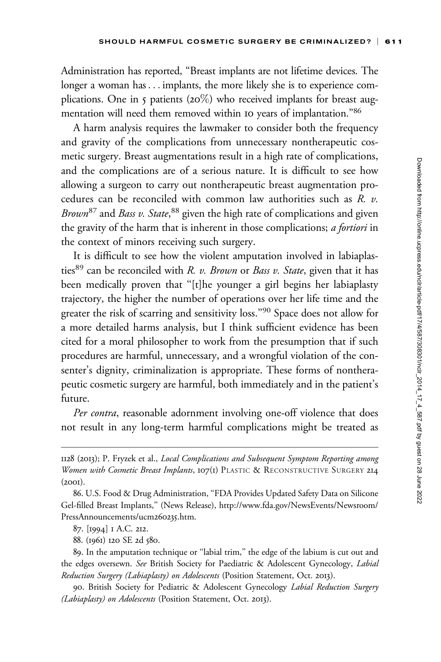Administration has reported, ''Breast implants are not lifetime devices. The longer a woman has... implants, the more likely she is to experience complications. One in 5 patients (20%) who received implants for breast augmentation will need them removed within 10 years of implantation."86

A harm analysis requires the lawmaker to consider both the frequency and gravity of the complications from unnecessary nontherapeutic cosmetic surgery. Breast augmentations result in a high rate of complications, and the complications are of a serious nature. It is difficult to see how allowing a surgeon to carry out nontherapeutic breast augmentation procedures can be reconciled with common law authorities such as R. v. Brown<sup>87</sup> and Bass v. State, <sup>88</sup> given the high rate of complications and given the gravity of the harm that is inherent in those complications; a fortiori in the context of minors receiving such surgery.

It is difficult to see how the violent amputation involved in labiaplasties<sup>89</sup> can be reconciled with R. v. Brown or Bass v. State, given that it has been medically proven that ''[t]he younger a girl begins her labiaplasty trajectory, the higher the number of operations over her life time and the greater the risk of scarring and sensitivity loss.''<sup>90</sup> Space does not allow for a more detailed harms analysis, but I think sufficient evidence has been cited for a moral philosopher to work from the presumption that if such procedures are harmful, unnecessary, and a wrongful violation of the consenter's dignity, criminalization is appropriate. These forms of nontherapeutic cosmetic surgery are harmful, both immediately and in the patient's future.

Per contra, reasonable adornment involving one-off violence that does not result in any long-term harmful complications might be treated as

<sup>1128</sup> (2013); P. Fryzek et al., Local Complications and Subsequent Symptom Reporting among Women with Cosmetic Breast Implants, 107(1) PLASTIC & RECONSTRUCTIVE SURGERY 214 (2001).

<sup>86.</sup> U.S. Food & Drug Administration, ''FDA Provides Updated Safety Data on Silicone Gel-filled Breast Implants,'' (News Release), [http://www.fda.gov/NewsEvents/Newsroom/](http://www.fda.gov/NewsEvents/Newsroom/PressAnnouncements/ucm260235.htm) [PressAnnouncements/ucm](http://www.fda.gov/NewsEvents/Newsroom/PressAnnouncements/ucm260235.htm)260235.htm.

<sup>87.</sup> [1994] 1 A.C. 212.

<sup>88.</sup> (1961) 120 SE 2d 580.

<sup>89.</sup> In the amputation technique or ''labial trim,'' the edge of the labium is cut out and the edges oversewn. See British Society for Paediatric & Adolescent Gynecology, Labial Reduction Surgery (Labiaplasty) on Adolescents (Position Statement, Oct. 2013).

<sup>90.</sup> British Society for Pediatric & Adolescent Gynecology Labial Reduction Surgery (Labiaplasty) on Adolescents (Position Statement, Oct. 2013).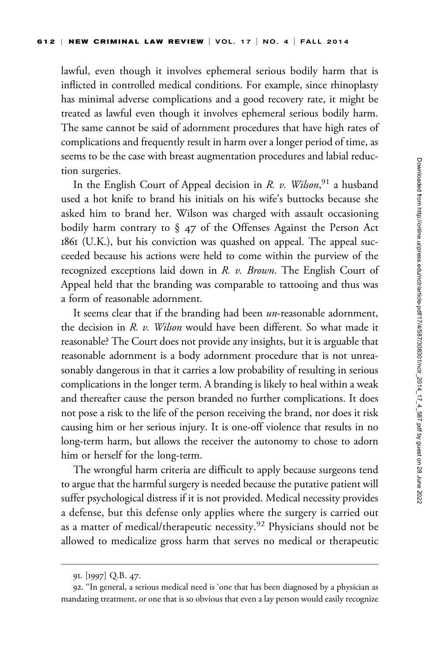lawful, even though it involves ephemeral serious bodily harm that is inflicted in controlled medical conditions. For example, since rhinoplasty has minimal adverse complications and a good recovery rate, it might be treated as lawful even though it involves ephemeral serious bodily harm. The same cannot be said of adornment procedures that have high rates of complications and frequently result in harm over a longer period of time, as seems to be the case with breast augmentation procedures and labial reduction surgeries.

In the English Court of Appeal decision in R. v. Wilson,<sup>91</sup> a husband used a hot knife to brand his initials on his wife's buttocks because she asked him to brand her. Wilson was charged with assault occasioning bodily harm contrary to § 47 of the Offenses Against the Person Act 1861 (U.K.), but his conviction was quashed on appeal. The appeal succeeded because his actions were held to come within the purview of the recognized exceptions laid down in  $R$ .  $v$ . Brown. The English Court of Appeal held that the branding was comparable to tattooing and thus was a form of reasonable adornment.

It seems clear that if the branding had been un-reasonable adornment, the decision in R. v. Wilson would have been different. So what made it reasonable? The Court does not provide any insights, but it is arguable that reasonable adornment is a body adornment procedure that is not unreasonably dangerous in that it carries a low probability of resulting in serious complications in the longer term. A branding is likely to heal within a weak and thereafter cause the person branded no further complications. It does not pose a risk to the life of the person receiving the brand, nor does it risk causing him or her serious injury. It is one-off violence that results in no long-term harm, but allows the receiver the autonomy to chose to adorn him or herself for the long-term.

The wrongful harm criteria are difficult to apply because surgeons tend to argue that the harmful surgery is needed because the putative patient will suffer psychological distress if it is not provided. Medical necessity provides a defense, but this defense only applies where the surgery is carried out as a matter of medical/therapeutic necessity.<sup>92</sup> Physicians should not be allowed to medicalize gross harm that serves no medical or therapeutic

<sup>91.</sup> [1997] Q.B. 47.

<sup>92.</sup> ''In general, a serious medical need is 'one that has been diagnosed by a physician as mandating treatment, or one that is so obvious that even a lay person would easily recognize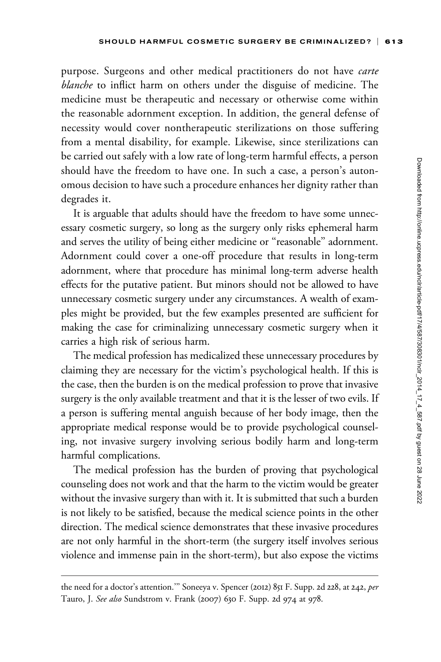purpose. Surgeons and other medical practitioners do not have *carte* blanche to inflict harm on others under the disguise of medicine. The medicine must be therapeutic and necessary or otherwise come within the reasonable adornment exception. In addition, the general defense of necessity would cover nontherapeutic sterilizations on those suffering from a mental disability, for example. Likewise, since sterilizations can be carried out safely with a low rate of long-term harmful effects, a person should have the freedom to have one. In such a case, a person's autonomous decision to have such a procedure enhances her dignity rather than degrades it.

It is arguable that adults should have the freedom to have some unnecessary cosmetic surgery, so long as the surgery only risks ephemeral harm and serves the utility of being either medicine or ''reasonable'' adornment. Adornment could cover a one-off procedure that results in long-term adornment, where that procedure has minimal long-term adverse health effects for the putative patient. But minors should not be allowed to have unnecessary cosmetic surgery under any circumstances. A wealth of examples might be provided, but the few examples presented are sufficient for making the case for criminalizing unnecessary cosmetic surgery when it carries a high risk of serious harm.

The medical profession has medicalized these unnecessary procedures by claiming they are necessary for the victim's psychological health. If this is the case, then the burden is on the medical profession to prove that invasive surgery is the only available treatment and that it is the lesser of two evils. If a person is suffering mental anguish because of her body image, then the appropriate medical response would be to provide psychological counseling, not invasive surgery involving serious bodily harm and long-term harmful complications.

The medical profession has the burden of proving that psychological counseling does not work and that the harm to the victim would be greater without the invasive surgery than with it. It is submitted that such a burden is not likely to be satisfied, because the medical science points in the other direction. The medical science demonstrates that these invasive procedures are not only harmful in the short-term (the surgery itself involves serious violence and immense pain in the short-term), but also expose the victims

the need for a doctor's attention." Soneeya v. Spencer (2012) 851 F. Supp. 2d 228, at 242, per Tauro, J. See also Sundstrom v. Frank (2007) 630 F. Supp. 2d 974 at 978.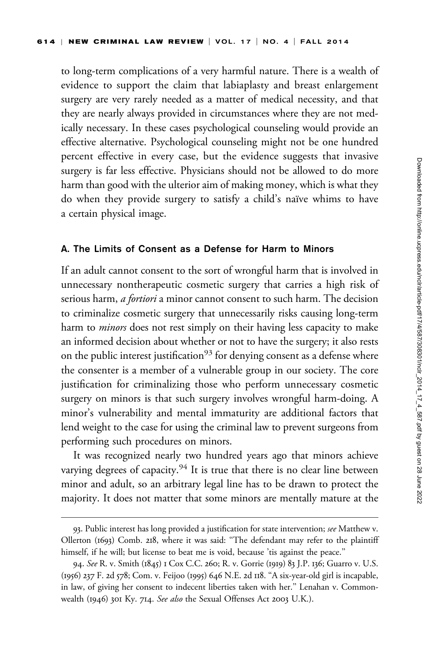to long-term complications of a very harmful nature. There is a wealth of evidence to support the claim that labiaplasty and breast enlargement surgery are very rarely needed as a matter of medical necessity, and that they are nearly always provided in circumstances where they are not medically necessary. In these cases psychological counseling would provide an effective alternative. Psychological counseling might not be one hundred percent effective in every case, but the evidence suggests that invasive surgery is far less effective. Physicians should not be allowed to do more harm than good with the ulterior aim of making money, which is what they do when they provide surgery to satisfy a child's naïve whims to have a certain physical image.

#### A. The Limits of Consent as a Defense for Harm to Minors

If an adult cannot consent to the sort of wrongful harm that is involved in unnecessary nontherapeutic cosmetic surgery that carries a high risk of serious harm, *a fortiori* a minor cannot consent to such harm. The decision to criminalize cosmetic surgery that unnecessarily risks causing long-term harm to *minors* does not rest simply on their having less capacity to make an informed decision about whether or not to have the surgery; it also rests on the public interest justification<sup>93</sup> for denying consent as a defense where the consenter is a member of a vulnerable group in our society. The core justification for criminalizing those who perform unnecessary cosmetic surgery on minors is that such surgery involves wrongful harm-doing. A minor's vulnerability and mental immaturity are additional factors that lend weight to the case for using the criminal law to prevent surgeons from performing such procedures on minors.

It was recognized nearly two hundred years ago that minors achieve varying degrees of capacity.<sup>94</sup> It is true that there is no clear line between minor and adult, so an arbitrary legal line has to be drawn to protect the majority. It does not matter that some minors are mentally mature at the

<sup>93.</sup> Public interest has long provided a justification for state intervention; see Matthew v. Ollerton (1693) Comb. 218, where it was said: ''The defendant may refer to the plaintiff himself, if he will; but license to beat me is void, because 'tis against the peace."

<sup>94.</sup> See R. v. Smith (1845) 1 Cox C.C. 260; R. v. Gorrie (1919) 83 J.P. 136; Guarro v. U.S. (1956) 237 F. 2d 578; Com. v. Feijoo (1995) 646 N.E. 2d 118. ''A six-year-old girl is incapable, in law, of giving her consent to indecent liberties taken with her.'' Lenahan v. Commonwealth (1946) 301 Ky. 714. See also the Sexual Offenses Act 2003 U.K.).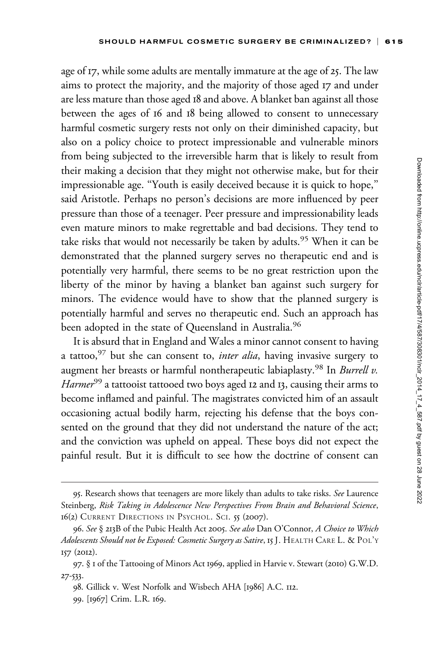age of 17, while some adults are mentally immature at the age of 25. The law aims to protect the majority, and the majority of those aged 17 and under are less mature than those aged 18 and above. A blanket ban against all those between the ages of 16 and 18 being allowed to consent to unnecessary harmful cosmetic surgery rests not only on their diminished capacity, but also on a policy choice to protect impressionable and vulnerable minors from being subjected to the irreversible harm that is likely to result from their making a decision that they might not otherwise make, but for their impressionable age. ''Youth is easily deceived because it is quick to hope,'' said Aristotle. Perhaps no person's decisions are more influenced by peer pressure than those of a teenager. Peer pressure and impressionability leads even mature minors to make regrettable and bad decisions. They tend to take risks that would not necessarily be taken by adults.<sup>95</sup> When it can be demonstrated that the planned surgery serves no therapeutic end and is potentially very harmful, there seems to be no great restriction upon the liberty of the minor by having a blanket ban against such surgery for minors. The evidence would have to show that the planned surgery is potentially harmful and serves no therapeutic end. Such an approach has been adopted in the state of Queensland in Australia.<sup>96</sup>

It is absurd that in England and Wales a minor cannot consent to having a tattoo,  $97$  but she can consent to, *inter alia*, having invasive surgery to augment her breasts or harmful nontherapeutic labiaplasty.<sup>98</sup> In Burrell v. Harmer<sup>99</sup> a tattooist tattooed two boys aged 12 and 13, causing their arms to become inflamed and painful. The magistrates convicted him of an assault occasioning actual bodily harm, rejecting his defense that the boys consented on the ground that they did not understand the nature of the act; and the conviction was upheld on appeal. These boys did not expect the painful result. But it is difficult to see how the doctrine of consent can

<sup>95.</sup> Research shows that teenagers are more likely than adults to take risks. See Laurence Steinberg, Risk Taking in Adolescence New Perspectives From Brain and Behavioral Science, 16(2) CURRENT DIRECTIONS IN PSYCHOL. SCI. 55 (2007).

<sup>96.</sup> See § 213B of the Pubic Health Act 2005. See also Dan O'Connor, A Choice to Which Adolescents Should not be Exposed: Cosmetic Surgery as Satire, 15 J. HEALTH CARE L. & POL'Y 157 (2012).

<sup>97.</sup> § 1 of the Tattooing of Minors Act 1969, applied in Harvie v. Stewart (2010) G.W.D. 27-533.

<sup>98.</sup> Gillick v. West Norfolk and Wisbech AHA [1986] A.C. 112.

<sup>99.</sup> [1967] Crim. L.R. 169.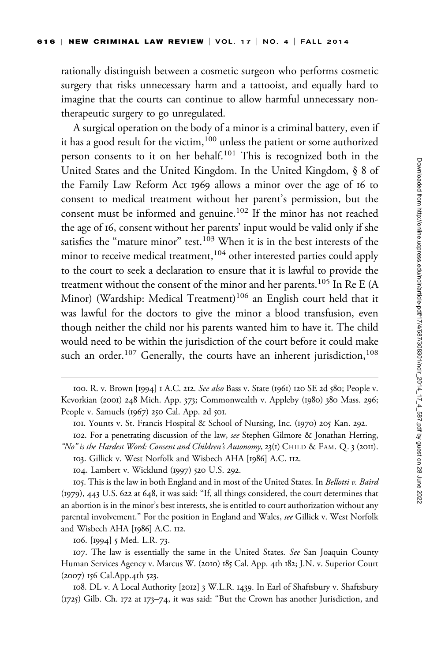rationally distinguish between a cosmetic surgeon who performs cosmetic surgery that risks unnecessary harm and a tattooist, and equally hard to imagine that the courts can continue to allow harmful unnecessary nontherapeutic surgery to go unregulated.

A surgical operation on the body of a minor is a criminal battery, even if it has a good result for the victim,<sup>100</sup> unless the patient or some authorized person consents to it on her behalf.<sup>101</sup> This is recognized both in the United States and the United Kingdom. In the United Kingdom, § 8 of the Family Law Reform Act 1969 allows a minor over the age of 16 to consent to medical treatment without her parent's permission, but the consent must be informed and genuine.<sup>102</sup> If the minor has not reached the age of 16, consent without her parents' input would be valid only if she satisfies the "mature minor" test.<sup>103</sup> When it is in the best interests of the minor to receive medical treatment,<sup>104</sup> other interested parties could apply to the court to seek a declaration to ensure that it is lawful to provide the treatment without the consent of the minor and her parents.<sup>105</sup> In Re E (A Minor) (Wardship: Medical Treatment)<sup>106</sup> an English court held that it was lawful for the doctors to give the minor a blood transfusion, even though neither the child nor his parents wanted him to have it. The child would need to be within the jurisdiction of the court before it could make such an order.<sup>107</sup> Generally, the courts have an inherent jurisdiction,<sup>108</sup>

104. Lambert v. Wicklund (1997) 520 U.S. 292.

105. This is the law in both England and in most of the United States. In Bellotti v. Baird (1979), 443 U.S. 622 at 648, it was said: ''If, all things considered, the court determines that an abortion is in the minor's best interests, she is entitled to court authorization without any parental involvement.'' For the position in England and Wales, see Gillick v. West Norfolk and Wisbech AHA [1986] A.C. 112.

106. [1994] 5 Med. L.R. 73.

107. The law is essentially the same in the United States. See San Joaquin County Human Services Agency v. Marcus W. (2010) 185 Cal. App. 4th 182; J.N. v. Superior Court (2007) 156 Cal.App.4th 523.

108. DL v. A Local Authority [2012] 3 W.L.R. 1439. In Earl of Shaftsbury v. Shaftsbury (1725) Gilb. Ch. 172 at 173–74, it was said: ''But the Crown has another Jurisdiction, and

<sup>100.</sup> R. v. Brown [1994] 1 A.C. 212. See also Bass v. State (1961) 120 SE 2d 580; People v. Kevorkian (2001) 248 Mich. App. 373; Commonwealth v. Appleby (1980) 380 Mass. 296; People v. Samuels (1967) 250 Cal. App. 2d 501.

<sup>101.</sup> Younts v. St. Francis Hospital & School of Nursing, Inc. (1970) 205 Kan. 292.

<sup>102.</sup> For a penetrating discussion of the law, see Stephen Gilmore & Jonathan Herring, "No" is the Hardest Word: Consent and Children's Autonomy, 23(1) CHILD & FAM. Q. 3 (2011). 103. Gillick v. West Norfolk and Wisbech AHA [1986] A.C. 112.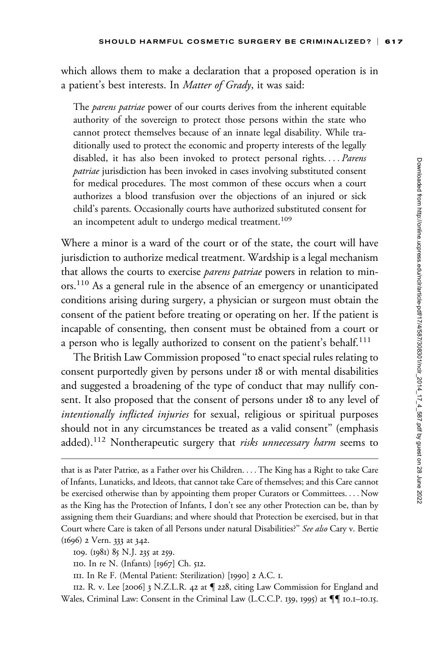which allows them to make a declaration that a proposed operation is in a patient's best interests. In *Matter of Grady*, it was said:

The *parens patriae* power of our courts derives from the inherent equitable authority of the sovereign to protect those persons within the state who cannot protect themselves because of an innate legal disability. While traditionally used to protect the economic and property interests of the legally disabled, it has also been invoked to protect personal rights.... Parens *patriae* jurisdiction has been invoked in cases involving substituted consent for medical procedures. The most common of these occurs when a court authorizes a blood transfusion over the objections of an injured or sick child's parents. Occasionally courts have authorized substituted consent for an incompetent adult to undergo medical treatment.<sup>109</sup>

Where a minor is a ward of the court or of the state, the court will have jurisdiction to authorize medical treatment. Wardship is a legal mechanism that allows the courts to exercise *parens patriae* powers in relation to minors.<sup>110</sup> As a general rule in the absence of an emergency or unanticipated conditions arising during surgery, a physician or surgeon must obtain the consent of the patient before treating or operating on her. If the patient is incapable of consenting, then consent must be obtained from a court or a person who is legally authorized to consent on the patient's behalf.<sup>111</sup>

The British Law Commission proposed ''to enact special rules relating to consent purportedly given by persons under 18 or with mental disabilities and suggested a broadening of the type of conduct that may nullify consent. It also proposed that the consent of persons under 18 to any level of intentionally inflicted injuries for sexual, religious or spiritual purposes should not in any circumstances be treated as a valid consent'' (emphasis added).<sup>112</sup> Nontherapeutic surgery that *risks unnecessary harm* seems to

112. R. v. Lee [2006] 3 N.Z.L.R. 42 at { 228, citing Law Commission for England and Wales, Criminal Law: Consent in the Criminal Law (L.C.C.P. 139, 1995) at  $\P\P$  10.1–10.15.

that is as Pater Patriœ, as a Father over his Children. ... The King has a Right to take Care of Infants, Lunaticks, and Ideots, that cannot take Care of themselves; and this Care cannot be exercised otherwise than by appointing them proper Curators or Committees. ... Now as the King has the Protection of Infants, I don't see any other Protection can be, than by assigning them their Guardians; and where should that Protection be exercised, but in that Court where Care is taken of all Persons under natural Disabilities?" See also Cary v. Bertie (1696) 2 Vern. 333 at 342.

<sup>109.</sup> (1981) 85 N.J. 235 at 259.

<sup>110.</sup> In re N. (Infants) [1967] Ch. 512.

<sup>111.</sup> In Re F. (Mental Patient: Sterilization) [1990] 2 A.C. 1.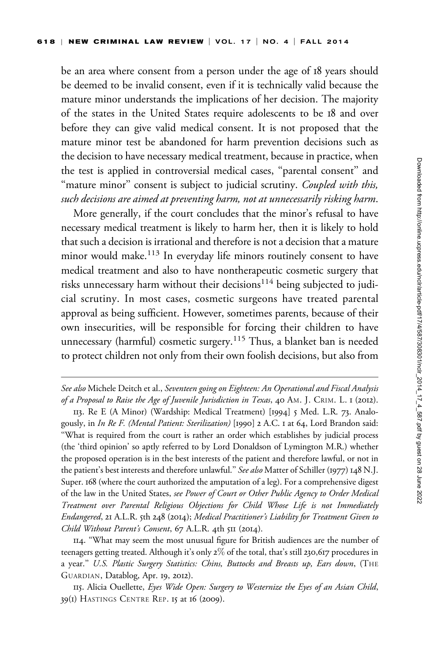be an area where consent from a person under the age of 18 years should be deemed to be invalid consent, even if it is technically valid because the mature minor understands the implications of her decision. The majority of the states in the United States require adolescents to be 18 and over before they can give valid medical consent. It is not proposed that the mature minor test be abandoned for harm prevention decisions such as the decision to have necessary medical treatment, because in practice, when the test is applied in controversial medical cases, ''parental consent'' and "mature minor" consent is subject to judicial scrutiny. *Coupled with this*, such decisions are aimed at preventing harm, not at unnecessarily risking harm.

More generally, if the court concludes that the minor's refusal to have necessary medical treatment is likely to harm her, then it is likely to hold that such a decision is irrational and therefore is not a decision that a mature minor would make.<sup>113</sup> In everyday life minors routinely consent to have medical treatment and also to have nontherapeutic cosmetic surgery that risks unnecessary harm without their decisions<sup>114</sup> being subjected to judicial scrutiny. In most cases, cosmetic surgeons have treated parental approval as being sufficient. However, sometimes parents, because of their own insecurities, will be responsible for forcing their children to have unnecessary (harmful) cosmetic surgery.<sup>115</sup> Thus, a blanket ban is needed to protect children not only from their own foolish decisions, but also from

See also Michele Deitch et al., Seventeen going on Eighteen: An Operational and Fiscal Analysis of a Proposal to Raise the Age of Juvenile Jurisdiction in Texas, 40 AM. J. CRIM. L. 1 (2012).

<sup>113.</sup> Re E (A Minor) (Wardship: Medical Treatment) [1994] 5 Med. L.R. 73. Analogously, in In Re F. (Mental Patient: Sterilization) [1990] 2 A.C. 1 at 64, Lord Brandon said: ''What is required from the court is rather an order which establishes by judicial process (the 'third opinion' so aptly referred to by Lord Donaldson of Lymington M.R.) whether the proposed operation is in the best interests of the patient and therefore lawful, or not in the patient's best interests and therefore unlawful." See also Matter of Schiller (1977) 148 N.J. Super. 168 (where the court authorized the amputation of a leg). For a comprehensive digest of the law in the United States, see Power of Court or Other Public Agency to Order Medical Treatment over Parental Religious Objections for Child Whose Life is not Immediately Endangered, 21 A.L.R. 5th 248 (2014); Medical Practitioner's Liability for Treatment Given to Child Without Parent's Consent, 67 A.L.R. 4th 511 (2014).

<sup>114.</sup> ''What may seem the most unusual figure for British audiences are the number of teenagers getting treated. Although it's only 2% of the total, that's still 230,617 procedures in a year." U.S. Plastic Surgery Statistics: Chins, Buttocks and Breasts up, Ears down, (THE GUARDIAN, Datablog, Apr. 19, 2012).

<sup>115.</sup> Alicia Ouellette, Eyes Wide Open: Surgery to Westernize the Eyes of an Asian Child, 39(1) HASTINGS CENTRE REP. 15 at 16 (2009).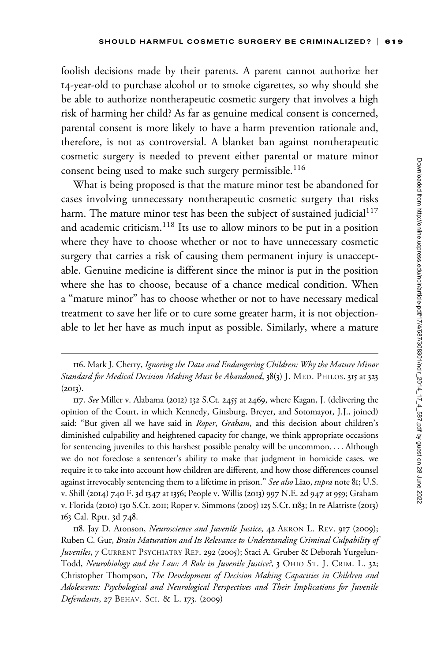foolish decisions made by their parents. A parent cannot authorize her 14-year-old to purchase alcohol or to smoke cigarettes, so why should she be able to authorize nontherapeutic cosmetic surgery that involves a high risk of harming her child? As far as genuine medical consent is concerned, parental consent is more likely to have a harm prevention rationale and, therefore, is not as controversial. A blanket ban against nontherapeutic cosmetic surgery is needed to prevent either parental or mature minor consent being used to make such surgery permissible.<sup>116</sup>

What is being proposed is that the mature minor test be abandoned for cases involving unnecessary nontherapeutic cosmetic surgery that risks harm. The mature minor test has been the subject of sustained judicial $117$ and academic criticism.<sup>118</sup> Its use to allow minors to be put in a position where they have to choose whether or not to have unnecessary cosmetic surgery that carries a risk of causing them permanent injury is unacceptable. Genuine medicine is different since the minor is put in the position where she has to choose, because of a chance medical condition. When a ''mature minor'' has to choose whether or not to have necessary medical treatment to save her life or to cure some greater harm, it is not objectionable to let her have as much input as possible. Similarly, where a mature

<sup>116.</sup> Mark J. Cherry, Ignoring the Data and Endangering Children: Why the Mature Minor Standard for Medical Decision Making Must be Abandoned, 38(3) J. MED. PHILOS. 315 at 323  $(2013).$ 

<sup>117.</sup> See Miller v. Alabama (2012) 132 S.Ct. 2455 at 2469, where Kagan, J. (delivering the opinion of the Court, in which Kennedy, Ginsburg, Breyer, and Sotomayor, J.J., joined) said: "But given all we have said in Roper, Graham, and this decision about children's diminished culpability and heightened capacity for change, we think appropriate occasions for sentencing juveniles to this harshest possible penalty will be uncommon. ... Although we do not foreclose a sentencer's ability to make that judgment in homicide cases, we require it to take into account how children are different, and how those differences counsel against irrevocably sentencing them to a lifetime in prison." See also Liao, supra note 81; U.S. v. Shill (2014) 740 F. 3d 1347 at 1356; People v. Willis (2013) 997 N.E. 2d 947 at 959; Graham v. Florida (2010) 130 S.Ct. 2011; Roper v. Simmons (2005) 125 S.Ct. 1183; In re Alatriste (2013) 163 Cal. Rptr. 3d 748.

<sup>118.</sup> Jay D. Aronson, Neuroscience and Juvenile Justice, 42 AKRON L. REV. 917 (2009); Ruben C. Gur, Brain Maturation and Its Relevance to Understanding Criminal Culpability of Juveniles, 7 CURRENT PSYCHIATRY REP. 292 (2005); Staci A. Gruber & Deborah Yurgelun-Todd, Neurobiology and the Law: A Role in Juvenile Justice?, 3 OHIO ST. J. CRIM. L. 32; Christopher Thompson, The Development of Decision Making Capacities in Children and Adolescents: Psychological and Neurological Perspectives and Their Implications for Juvenile Defendants, 27 BEHAV. SCI. & L. 173. (2009)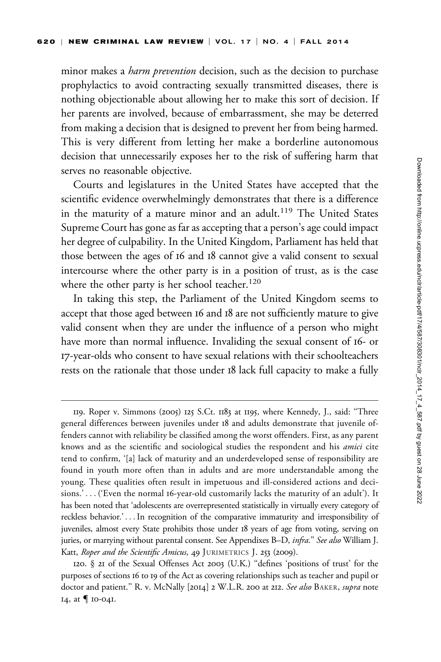minor makes a *harm prevention* decision, such as the decision to purchase prophylactics to avoid contracting sexually transmitted diseases, there is nothing objectionable about allowing her to make this sort of decision. If her parents are involved, because of embarrassment, she may be deterred from making a decision that is designed to prevent her from being harmed. This is very different from letting her make a borderline autonomous decision that unnecessarily exposes her to the risk of suffering harm that serves no reasonable objective.

Courts and legislatures in the United States have accepted that the scientific evidence overwhelmingly demonstrates that there is a difference in the maturity of a mature minor and an adult.<sup>119</sup> The United States Supreme Court has gone as far as accepting that a person's age could impact her degree of culpability. In the United Kingdom, Parliament has held that those between the ages of 16 and 18 cannot give a valid consent to sexual intercourse where the other party is in a position of trust, as is the case where the other party is her school teacher.<sup>120</sup>

In taking this step, the Parliament of the United Kingdom seems to accept that those aged between 16 and 18 are not sufficiently mature to give valid consent when they are under the influence of a person who might have more than normal influence. Invaliding the sexual consent of 16- or 17-year-olds who consent to have sexual relations with their schoolteachers rests on the rationale that those under 18 lack full capacity to make a fully

<sup>119.</sup> Roper v. Simmons (2005) 125 S.Ct. 1183 at 1195, where Kennedy, J., said: ''Three general differences between juveniles under 18 and adults demonstrate that juvenile offenders cannot with reliability be classified among the worst offenders. First, as any parent knows and as the scientific and sociological studies the respondent and his amici cite tend to confirm, '[a] lack of maturity and an underdeveloped sense of responsibility are found in youth more often than in adults and are more understandable among the young. These qualities often result in impetuous and ill-considered actions and decisions.' ... ('Even the normal 16-year-old customarily lacks the maturity of an adult'). It has been noted that 'adolescents are overrepresented statistically in virtually every category of reckless behavior.' ...In recognition of the comparative immaturity and irresponsibility of juveniles, almost every State prohibits those under 18 years of age from voting, serving on juries, or marrying without parental consent. See Appendixes B-D, infra." See also William J. Katt, Roper and the Scientific Amicus, 49 JURIMETRICS J. 253 (2009).

<sup>120.</sup> § 21 of the Sexual Offenses Act 2003 (U.K.) ''defines 'positions of trust' for the purposes of sections 16 to 19 of the Act as covering relationships such as teacher and pupil or doctor and patient." R. v. McNally [2014] 2 W.L.R. 200 at 212. See also BAKER, supra note 14, at  $\P$  10-041.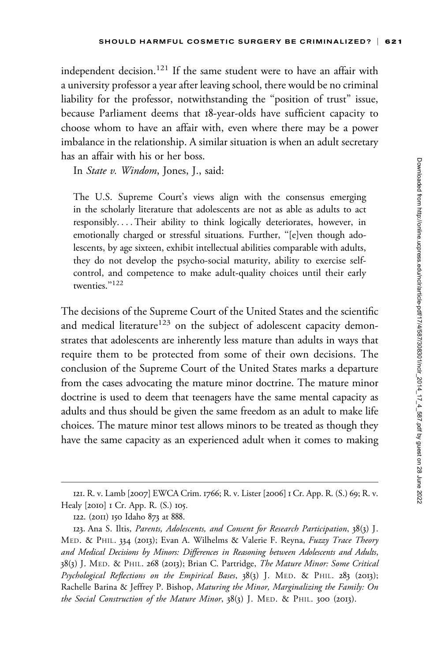independent decision.<sup>121</sup> If the same student were to have an affair with a university professor a year after leaving school, there would be no criminal liability for the professor, notwithstanding the "position of trust" issue, because Parliament deems that 18-year-olds have sufficient capacity to choose whom to have an affair with, even where there may be a power imbalance in the relationship. A similar situation is when an adult secretary has an affair with his or her boss.

In *State v. Windom*, Jones, J., said:

The U.S. Supreme Court's views align with the consensus emerging in the scholarly literature that adolescents are not as able as adults to act responsibly. ... Their ability to think logically deteriorates, however, in emotionally charged or stressful situations. Further, ''[e]ven though adolescents, by age sixteen, exhibit intellectual abilities comparable with adults, they do not develop the psycho-social maturity, ability to exercise selfcontrol, and competence to make adult-quality choices until their early twenties."<sup>122</sup>

The decisions of the Supreme Court of the United States and the scientific and medical literature<sup>123</sup> on the subject of adolescent capacity demonstrates that adolescents are inherently less mature than adults in ways that require them to be protected from some of their own decisions. The conclusion of the Supreme Court of the United States marks a departure from the cases advocating the mature minor doctrine. The mature minor doctrine is used to deem that teenagers have the same mental capacity as adults and thus should be given the same freedom as an adult to make life choices. The mature minor test allows minors to be treated as though they have the same capacity as an experienced adult when it comes to making

<sup>121.</sup> R. v. Lamb [2007] EWCA Crim. 1766; R. v. Lister [2006] 1 Cr. App. R. (S.) 69; R. v. Healy [2010] 1 Cr. App. R. (S.) 105.

<sup>122.</sup> (2011) 150 Idaho 873 at 888.

<sup>123.</sup> Ana S. Iltis, Parents, Adolescents, and Consent for Research Participation, 38(3) J. MED. & PHIL. 334 (2013); Evan A. Wilhelms & Valerie F. Reyna, Fuzzy Trace Theory and Medical Decisions by Minors: Differences in Reasoning between Adolescents and Adults, 38(3) J. MED. & PHIL. 268 (2013); Brian C. Partridge, The Mature Minor: Some Critical Psychological Reflections on the Empirical Bases, 38(3) J. MED. & PHIL. 283 (2013); Rachelle Barina & Jeffrey P. Bishop, Maturing the Minor, Marginalizing the Family: On the Social Construction of the Mature Minor,  $38(3)$  J. MED. & PHIL. 300 (2013).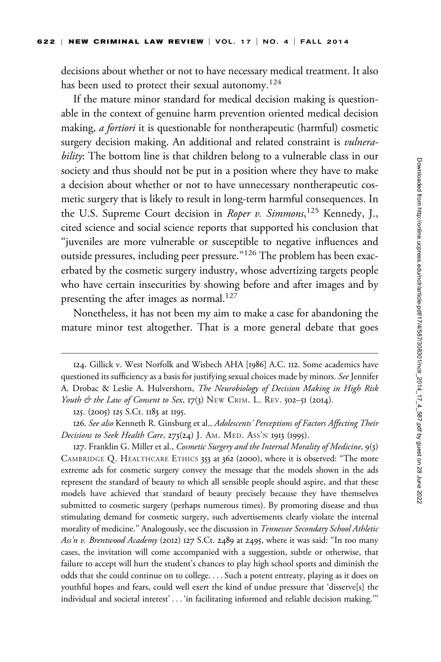decisions about whether or not to have necessary medical treatment. It also has been used to protect their sexual autonomy.<sup>124</sup>

If the mature minor standard for medical decision making is questionable in the context of genuine harm prevention oriented medical decision making, *a fortiori* it is questionable for nontherapeutic (harmful) cosmetic surgery decision making. An additional and related constraint is *vulnera*bility: The bottom line is that children belong to a vulnerable class in our society and thus should not be put in a position where they have to make a decision about whether or not to have unnecessary nontherapeutic cosmetic surgery that is likely to result in long-term harmful consequences. In the U.S. Supreme Court decision in Roper v. Simmons,<sup>125</sup> Kennedy, J., cited science and social science reports that supported his conclusion that ''juveniles are more vulnerable or susceptible to negative influences and outside pressures, including peer pressure."<sup>126</sup> The problem has been exacerbated by the cosmetic surgery industry, whose advertizing targets people who have certain insecurities by showing before and after images and by presenting the after images as normal.<sup>127</sup>

Nonetheless, it has not been my aim to make a case for abandoning the mature minor test altogether. That is a more general debate that goes

125. (2005) 125 S.Ct. 1183 at 1195.

126. See also Kenneth R. Ginsburg et al., Adolescents' Perceptions of Factors Affecting Their Decisions to Seek Health Care,  $273(24)$  J. AM. MED. ASS'N 1913 (1995).

127. Franklin G. Miller et al., Cosmetic Surgery and the Internal Morality of Medicine, 9(3) CAMBRIDGE Q. HEALTHCARE ETHICS 353 at 362 (2000), where it is observed: ''The more extreme ads for cosmetic surgery convey the message that the models shown in the ads represent the standard of beauty to which all sensible people should aspire, and that these models have achieved that standard of beauty precisely because they have themselves submitted to cosmetic surgery (perhaps numerous times). By promoting disease and thus stimulating demand for cosmetic surgery, such advertisements clearly violate the internal morality of medicine." Analogously, see the discussion in Tennessee Secondary School Athletic Ass'n v. Brentwood Academy (2012) 127 S.Ct. 2489 at 2495, where it was said: "In too many cases, the invitation will come accompanied with a suggestion, subtle or otherwise, that failure to accept will hurt the student's chances to play high school sports and diminish the odds that she could continue on to college. ... Such a potent entreaty, playing as it does on youthful hopes and fears, could well exert the kind of undue pressure that 'disserve[s] the individual and societal interest' ... 'in facilitating informed and reliable decision making.'''

<sup>124.</sup> Gillick v. West Norfolk and Wisbech AHA [1986] A.C. 112. Some academics have questioned its sufficiency as a basis for justifying sexual choices made by minors. See Jennifer A. Drobac & Leslie A. Hulvershorn, The Neurobiology of Decision Making in High Risk Youth & the Law of Consent to Sex,  $17(3)$  NEW CRIM. L. REV. 502-51 (2014).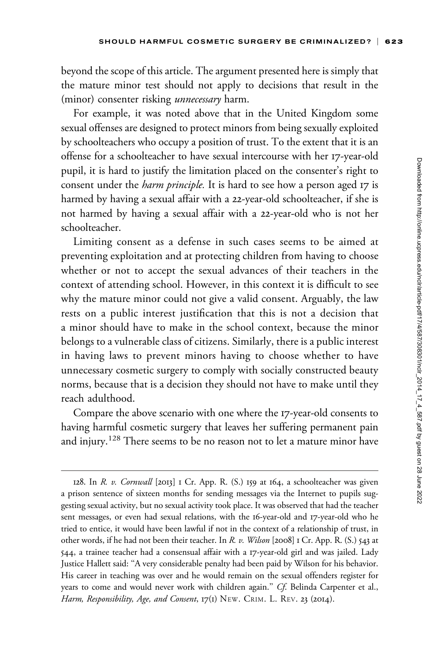beyond the scope of this article. The argument presented here is simply that the mature minor test should not apply to decisions that result in the (minor) consenter risking *unnecessary* harm.

For example, it was noted above that in the United Kingdom some sexual offenses are designed to protect minors from being sexually exploited by schoolteachers who occupy a position of trust. To the extent that it is an offense for a schoolteacher to have sexual intercourse with her 17-year-old pupil, it is hard to justify the limitation placed on the consenter's right to consent under the *harm principle*. It is hard to see how a person aged 17 is harmed by having a sexual affair with a 22-year-old schoolteacher, if she is not harmed by having a sexual affair with a 22-year-old who is not her schoolteacher.

Limiting consent as a defense in such cases seems to be aimed at preventing exploitation and at protecting children from having to choose whether or not to accept the sexual advances of their teachers in the context of attending school. However, in this context it is difficult to see why the mature minor could not give a valid consent. Arguably, the law rests on a public interest justification that this is not a decision that a minor should have to make in the school context, because the minor belongs to a vulnerable class of citizens. Similarly, there is a public interest in having laws to prevent minors having to choose whether to have unnecessary cosmetic surgery to comply with socially constructed beauty norms, because that is a decision they should not have to make until they reach adulthood.

Compare the above scenario with one where the 17-year-old consents to having harmful cosmetic surgery that leaves her suffering permanent pain and injury.<sup>128</sup> There seems to be no reason not to let a mature minor have

<sup>128.</sup> In R. v. Cornwall [2013] 1 Cr. App. R. (S.) 159 at 164, a schoolteacher was given a prison sentence of sixteen months for sending messages via the Internet to pupils suggesting sexual activity, but no sexual activity took place. It was observed that had the teacher sent messages, or even had sexual relations, with the 16-year-old and 17-year-old who he tried to entice, it would have been lawful if not in the context of a relationship of trust, in other words, if he had not been their teacher. In R. v. Wilson [2008] 1 Cr. App. R. (S.) 543 at 544, a trainee teacher had a consensual affair with a 17-year-old girl and was jailed. Lady Justice Hallett said: ''A very considerable penalty had been paid by Wilson for his behavior. His career in teaching was over and he would remain on the sexual offenders register for years to come and would never work with children again.'' Cf. Belinda Carpenter et al., Harm, Responsibility, Age, and Consent, 17(1) NEW. CRIM. L. REV. 23 (2014).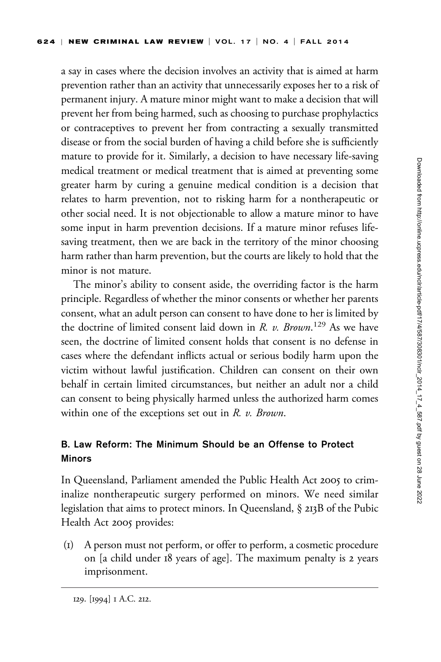a say in cases where the decision involves an activity that is aimed at harm prevention rather than an activity that unnecessarily exposes her to a risk of permanent injury. A mature minor might want to make a decision that will prevent her from being harmed, such as choosing to purchase prophylactics or contraceptives to prevent her from contracting a sexually transmitted disease or from the social burden of having a child before she is sufficiently mature to provide for it. Similarly, a decision to have necessary life-saving medical treatment or medical treatment that is aimed at preventing some greater harm by curing a genuine medical condition is a decision that relates to harm prevention, not to risking harm for a nontherapeutic or other social need. It is not objectionable to allow a mature minor to have some input in harm prevention decisions. If a mature minor refuses lifesaving treatment, then we are back in the territory of the minor choosing harm rather than harm prevention, but the courts are likely to hold that the minor is not mature.

The minor's ability to consent aside, the overriding factor is the harm principle. Regardless of whether the minor consents or whether her parents consent, what an adult person can consent to have done to her is limited by the doctrine of limited consent laid down in R. v. Brown.<sup>129</sup> As we have seen, the doctrine of limited consent holds that consent is no defense in cases where the defendant inflicts actual or serious bodily harm upon the victim without lawful justification. Children can consent on their own behalf in certain limited circumstances, but neither an adult nor a child can consent to being physically harmed unless the authorized harm comes within one of the exceptions set out in  $R$ .  $v$ . Brown.

# B. Law Reform: The Minimum Should be an Offense to Protect Minors

In Queensland, Parliament amended the Public Health Act 2005 to criminalize nontherapeutic surgery performed on minors. We need similar legislation that aims to protect minors. In Queensland, § 213B of the Pubic Health Act 2005 provides:

(1) A person must not perform, or offer to perform, a cosmetic procedure on [a child under 18 years of age]. The maximum penalty is 2 years imprisonment.

<sup>129.</sup> [1994] 1 A.C. 212.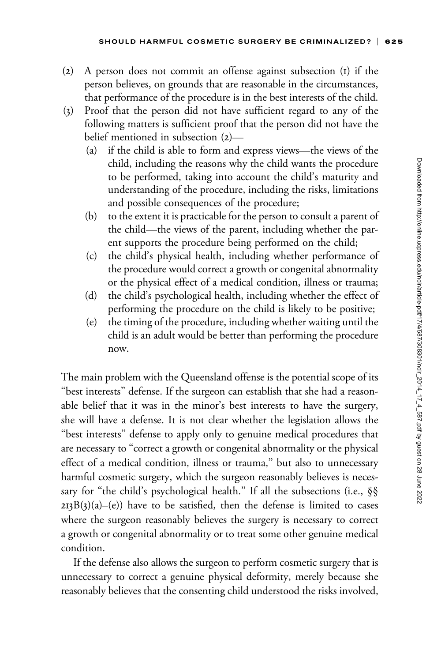- (2) A person does not commit an offense against subsection (1) if the person believes, on grounds that are reasonable in the circumstances, that performance of the procedure is in the best interests of the child.
- (3) Proof that the person did not have sufficient regard to any of the following matters is sufficient proof that the person did not have the belief mentioned in subsection (2)—
	- (a) if the child is able to form and express views—the views of the child, including the reasons why the child wants the procedure to be performed, taking into account the child's maturity and understanding of the procedure, including the risks, limitations and possible consequences of the procedure;
	- (b) to the extent it is practicable for the person to consult a parent of the child—the views of the parent, including whether the parent supports the procedure being performed on the child;
	- (c) the child's physical health, including whether performance of the procedure would correct a growth or congenital abnormality or the physical effect of a medical condition, illness or trauma;
	- (d) the child's psychological health, including whether the effect of performing the procedure on the child is likely to be positive;
	- (e) the timing of the procedure, including whether waiting until the child is an adult would be better than performing the procedure now.

The main problem with the Queensland offense is the potential scope of its "best interests" defense. If the surgeon can establish that she had a reasonable belief that it was in the minor's best interests to have the surgery, she will have a defense. It is not clear whether the legislation allows the "best interests" defense to apply only to genuine medical procedures that are necessary to ''correct a growth or congenital abnormality or the physical effect of a medical condition, illness or trauma,'' but also to unnecessary harmful cosmetic surgery, which the surgeon reasonably believes is necessary for "the child's psychological health." If all the subsections (i.e., §§  $2I3B(3)(a)$ –(e)) have to be satisfied, then the defense is limited to cases where the surgeon reasonably believes the surgery is necessary to correct a growth or congenital abnormality or to treat some other genuine medical condition.

If the defense also allows the surgeon to perform cosmetic surgery that is unnecessary to correct a genuine physical deformity, merely because she reasonably believes that the consenting child understood the risks involved,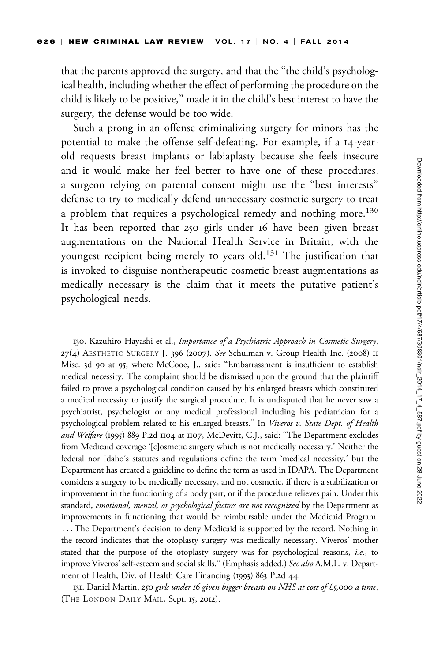that the parents approved the surgery, and that the "the child's psychological health, including whether the effect of performing the procedure on the child is likely to be positive,'' made it in the child's best interest to have the surgery, the defense would be too wide.

Such a prong in an offense criminalizing surgery for minors has the potential to make the offense self-defeating. For example, if a 14-yearold requests breast implants or labiaplasty because she feels insecure and it would make her feel better to have one of these procedures, a surgeon relying on parental consent might use the ''best interests'' defense to try to medically defend unnecessary cosmetic surgery to treat a problem that requires a psychological remedy and nothing more.<sup>130</sup> It has been reported that 250 girls under 16 have been given breast augmentations on the National Health Service in Britain, with the youngest recipient being merely 10 years old.<sup>131</sup> The justification that is invoked to disguise nontherapeutic cosmetic breast augmentations as medically necessary is the claim that it meets the putative patient's psychological needs.

130. Kazuhiro Hayashi et al., Importance of a Psychiatric Approach in Cosmetic Surgery, 27(4) AESTHETIC SURGERY J. 396 (2007). See Schulman v. Group Health Inc. (2008) II Misc. 3d 90 at 95, where McCooe, J., said: ''Embarrassment is insufficient to establish medical necessity. The complaint should be dismissed upon the ground that the plaintiff failed to prove a psychological condition caused by his enlarged breasts which constituted a medical necessity to justify the surgical procedure. It is undisputed that he never saw a psychiatrist, psychologist or any medical professional including his pediatrician for a psychological problem related to his enlarged breasts." In Viveros v. State Dept. of Health and Welfare (1995) 889 P.2d 1104 at 1107, McDevitt, C.J., said: "The Department excludes from Medicaid coverage '[c]osmetic surgery which is not medically necessary.' Neither the federal nor Idaho's statutes and regulations define the term 'medical necessity,' but the Department has created a guideline to define the term as used in IDAPA. The Department considers a surgery to be medically necessary, and not cosmetic, if there is a stabilization or improvement in the functioning of a body part, or if the procedure relieves pain. Under this standard, emotional, mental, or psychological factors are not recognized by the Department as improvements in functioning that would be reimbursable under the Medicaid Program. ... The Department's decision to deny Medicaid is supported by the record. Nothing in the record indicates that the otoplasty surgery was medically necessary. Viveros' mother stated that the purpose of the otoplasty surgery was for psychological reasons, *i.e.*, to improve Viveros' self-esteem and social skills." (Emphasis added.) See also A.M.L. v. Department of Health, Div. of Health Care Financing (1993) 863 P.2d 44.

131. Daniel Martin, 250 girls under 16 given bigger breasts on NHS at cost of £5,000 a time, (THE LONDON DAILY MAIL, Sept. 15, 2012).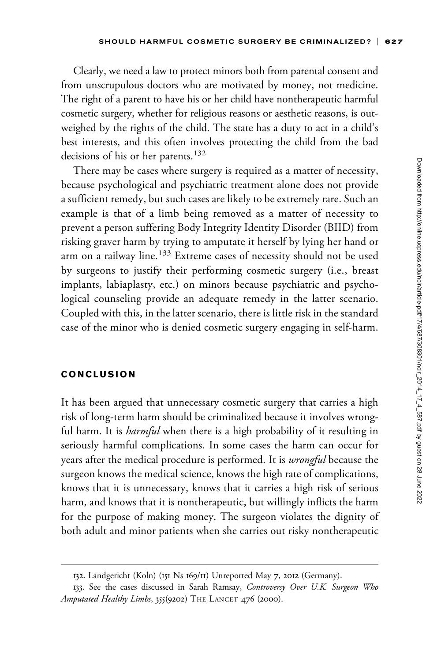Clearly, we need a law to protect minors both from parental consent and from unscrupulous doctors who are motivated by money, not medicine. The right of a parent to have his or her child have nontherapeutic harmful cosmetic surgery, whether for religious reasons or aesthetic reasons, is outweighed by the rights of the child. The state has a duty to act in a child's best interests, and this often involves protecting the child from the bad decisions of his or her parents.<sup>132</sup>

There may be cases where surgery is required as a matter of necessity, because psychological and psychiatric treatment alone does not provide a sufficient remedy, but such cases are likely to be extremely rare. Such an example is that of a limb being removed as a matter of necessity to prevent a person suffering Body Integrity Identity Disorder (BIID) from risking graver harm by trying to amputate it herself by lying her hand or arm on a railway line.<sup>133</sup> Extreme cases of necessity should not be used by surgeons to justify their performing cosmetic surgery (i.e., breast implants, labiaplasty, etc.) on minors because psychiatric and psychological counseling provide an adequate remedy in the latter scenario. Coupled with this, in the latter scenario, there is little risk in the standard case of the minor who is denied cosmetic surgery engaging in self-harm.

#### CONCLUSION

It has been argued that unnecessary cosmetic surgery that carries a high risk of long-term harm should be criminalized because it involves wrongful harm. It is *harmful* when there is a high probability of it resulting in seriously harmful complications. In some cases the harm can occur for years after the medical procedure is performed. It is *wrongful* because the surgeon knows the medical science, knows the high rate of complications, knows that it is unnecessary, knows that it carries a high risk of serious harm, and knows that it is nontherapeutic, but willingly inflicts the harm for the purpose of making money. The surgeon violates the dignity of both adult and minor patients when she carries out risky nontherapeutic

<sup>132.</sup> Landgericht (Koln) (151 Ns 169/11) Unreported May 7, 2012 (Germany).

<sup>133.</sup> See the cases discussed in Sarah Ramsay, Controversy Over U.K. Surgeon Who Amputated Healthy Limbs, 355(9202) THE LANCET 476 (2000).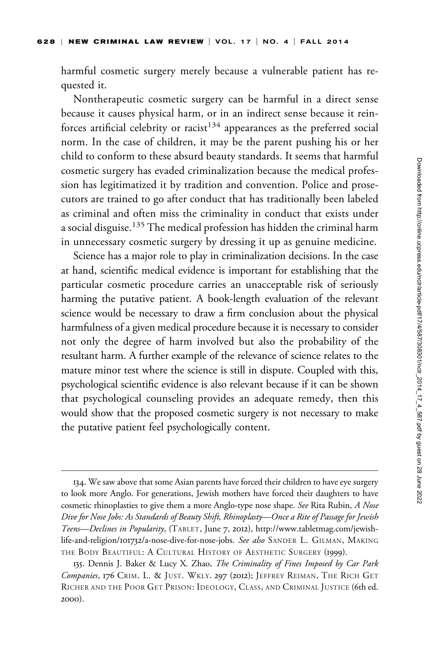harmful cosmetic surgery merely because a vulnerable patient has requested it.

Nontherapeutic cosmetic surgery can be harmful in a direct sense because it causes physical harm, or in an indirect sense because it reinforces artificial celebrity or racist<sup>134</sup> appearances as the preferred social norm. In the case of children, it may be the parent pushing his or her child to conform to these absurd beauty standards. It seems that harmful cosmetic surgery has evaded criminalization because the medical profession has legitimatized it by tradition and convention. Police and prosecutors are trained to go after conduct that has traditionally been labeled as criminal and often miss the criminality in conduct that exists under a social disguise.<sup>135</sup> The medical profession has hidden the criminal harm in unnecessary cosmetic surgery by dressing it up as genuine medicine.

Science has a major role to play in criminalization decisions. In the case at hand, scientific medical evidence is important for establishing that the particular cosmetic procedure carries an unacceptable risk of seriously harming the putative patient. A book-length evaluation of the relevant science would be necessary to draw a firm conclusion about the physical harmfulness of a given medical procedure because it is necessary to consider not only the degree of harm involved but also the probability of the resultant harm. A further example of the relevance of science relates to the mature minor test where the science is still in dispute. Coupled with this, psychological scientific evidence is also relevant because if it can be shown that psychological counseling provides an adequate remedy, then this would show that the proposed cosmetic surgery is not necessary to make the putative patient feel psychologically content.

<sup>134.</sup> We saw above that some Asian parents have forced their children to have eye surgery to look more Anglo. For generations, Jewish mothers have forced their daughters to have cosmetic rhinoplasties to give them a more Anglo-type nose shape. See Rita Rubin, A Nose Dive for Nose Jobs: As Standards of Beauty Shift, Rhinoplasty—Once a Rite of Passage for Jewish Teens-Declines in Popularity, (TABLET, June 7, 2012), http://www.tabletmag.com/jewishlife-and-religion/101732/a-nose-dive-for-nose-jobs. See also SANDER L. GILMAN, MAKING THE BODY BEAUTIFUL: A CULTURAL HISTORY OF AESTHETIC SURGERY (1999).

<sup>135.</sup> Dennis J. Baker & Lucy X. Zhao, The Criminality of Fines Imposed by Car Park Companies, 176 CRIM. L. & JUST. WKLY. 297 (2012); JEFFREY REIMAN, THE RICH GET RICHER AND THE POOR GET PRISON: IDEOLOGY, CLASS, AND CRIMINAL JUSTICE (6th ed. 2000).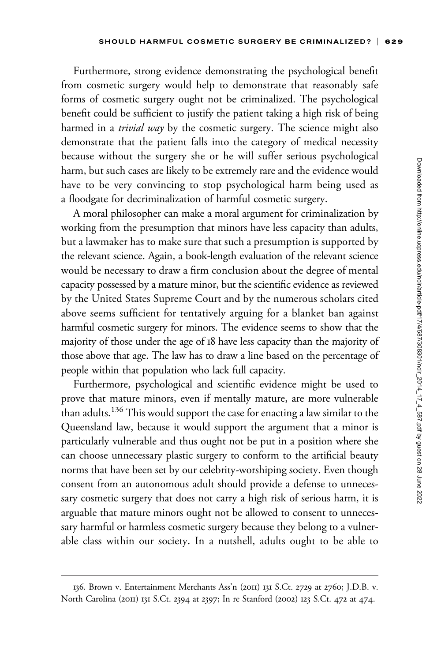Furthermore, strong evidence demonstrating the psychological benefit from cosmetic surgery would help to demonstrate that reasonably safe forms of cosmetic surgery ought not be criminalized. The psychological benefit could be sufficient to justify the patient taking a high risk of being harmed in a trivial way by the cosmetic surgery. The science might also demonstrate that the patient falls into the category of medical necessity because without the surgery she or he will suffer serious psychological harm, but such cases are likely to be extremely rare and the evidence would have to be very convincing to stop psychological harm being used as a floodgate for decriminalization of harmful cosmetic surgery.

A moral philosopher can make a moral argument for criminalization by working from the presumption that minors have less capacity than adults, but a lawmaker has to make sure that such a presumption is supported by the relevant science. Again, a book-length evaluation of the relevant science would be necessary to draw a firm conclusion about the degree of mental capacity possessed by a mature minor, but the scientific evidence as reviewed by the United States Supreme Court and by the numerous scholars cited above seems sufficient for tentatively arguing for a blanket ban against harmful cosmetic surgery for minors. The evidence seems to show that the majority of those under the age of 18 have less capacity than the majority of those above that age. The law has to draw a line based on the percentage of people within that population who lack full capacity.

Furthermore, psychological and scientific evidence might be used to prove that mature minors, even if mentally mature, are more vulnerable than adults.<sup>136</sup> This would support the case for enacting a law similar to the Queensland law, because it would support the argument that a minor is particularly vulnerable and thus ought not be put in a position where she can choose unnecessary plastic surgery to conform to the artificial beauty norms that have been set by our celebrity-worshiping society. Even though consent from an autonomous adult should provide a defense to unnecessary cosmetic surgery that does not carry a high risk of serious harm, it is arguable that mature minors ought not be allowed to consent to unnecessary harmful or harmless cosmetic surgery because they belong to a vulnerable class within our society. In a nutshell, adults ought to be able to

<sup>136.</sup> Brown v. Entertainment Merchants Ass'n (2011) 131 S.Ct. 2729 at 2760; J.D.B. v. North Carolina (2011) 131 S.Ct. 2394 at 2397; In re Stanford (2002) 123 S.Ct. 472 at 474.